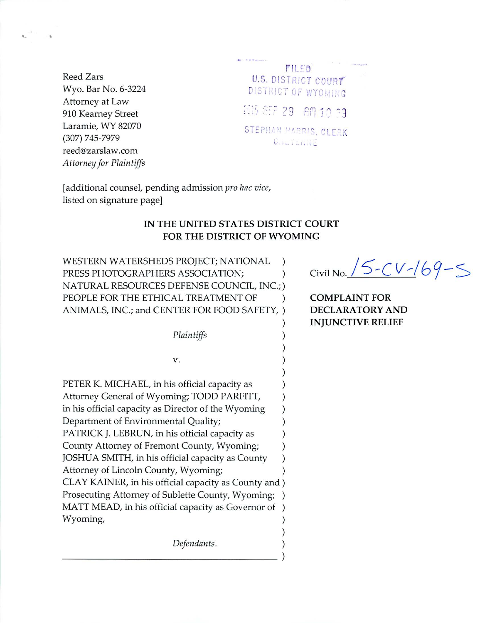**Reed Zars** Wyo. Bar No. 6-3224 Attorney at Law 910 Kearney Street Laramie, WY 82070 (307) 745-7979 reed@zarslaw.com Attorney for Plaintiffs

| FILED                 |  |
|-----------------------|--|
| U.S. DISTRICT COURT   |  |
| DISTRICT OF WYOMING   |  |
| 205 SEP 29 AM 10 33   |  |
| STEPHAN HARRIS, CLERK |  |
| GULTERNE              |  |

 $\mathcal{C}$ 

 $\mathcal{E}$  $\lambda$ 

 $\lambda$  $\mathcal{E}$ 

[additional counsel, pending admission pro hac vice, listed on signature page]

# IN THE UNITED STATES DISTRICT COURT FOR THE DISTRICT OF WYOMING

WESTERN WATERSHEDS PROJECT; NATIONAL  $\mathcal{E}$ PRESS PHOTOGRAPHERS ASSOCIATION;  $\mathcal{E}$ NATURAL RESOURCES DEFENSE COUNCIL, INC.; ) PEOPLE FOR THE ETHICAL TREATMENT OF  $\mathcal{E}$ ANIMALS, INC.; and CENTER FOR FOOD SAFETY, )

Plaintiffs

V.

PETER K. MICHAEL, in his official capacity as Attorney General of Wyoming; TODD PARFITT, in his official capacity as Director of the Wyoming  $\mathcal{E}$ Department of Environmental Quality;  $\lambda$ PATRICK J. LEBRUN, in his official capacity as  $\mathcal{E}$ County Attorney of Fremont County, Wyoming;  $\mathcal{E}$ JOSHUA SMITH, in his official capacity as County  $\mathcal{E}$ Attorney of Lincoln County, Wyoming;  $\mathcal{E}$ CLAY KAINER, in his official capacity as County and) Prosecuting Attorney of Sublette County, Wyoming;  $\rightarrow$ MATT MEAD, in his official capacity as Governor of  $\mathcal{C}$ Wyoming,  $\mathcal{E}$  $\mathcal{E}$ 

Defendants.

Civil No. 15-CV-169-5

**COMPLAINT FOR DECLARATORY AND INJUNCTIVE RELIEF**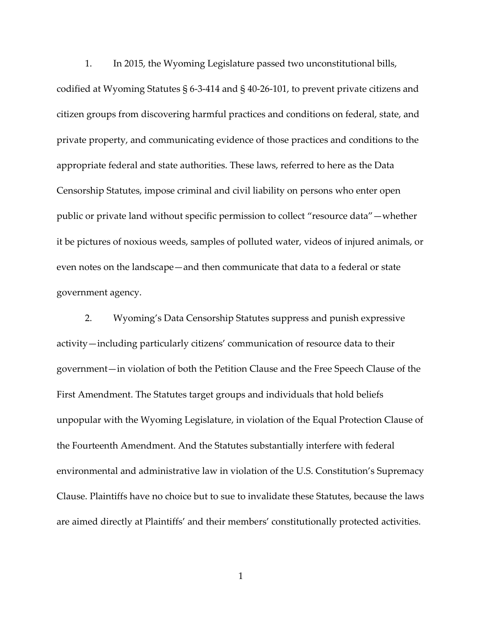1. In 2015, the Wyoming Legislature passed two unconstitutional bills, codified at Wyoming Statutes § 6-3-414 and § 40-26-101, to prevent private citizens and citizen groups from discovering harmful practices and conditions on federal, state, and private property, and communicating evidence of those practices and conditions to the appropriate federal and state authorities. These laws, referred to here as the Data Censorship Statutes, impose criminal and civil liability on persons who enter open public or private land without specific permission to collect "resource data"—whether it be pictures of noxious weeds, samples of polluted water, videos of injured animals, or

even notes on the landscape—and then communicate that data to a federal or state government agency.

2. Wyoming's Data Censorship Statutes suppress and punish expressive activity—including particularly citizens' communication of resource data to their government—in violation of both the Petition Clause and the Free Speech Clause of the First Amendment. The Statutes target groups and individuals that hold beliefs unpopular with the Wyoming Legislature, in violation of the Equal Protection Clause of the Fourteenth Amendment. And the Statutes substantially interfere with federal environmental and administrative law in violation of the U.S. Constitution's Supremacy Clause. Plaintiffs have no choice but to sue to invalidate these Statutes, because the laws are aimed directly at Plaintiffs' and their members' constitutionally protected activities.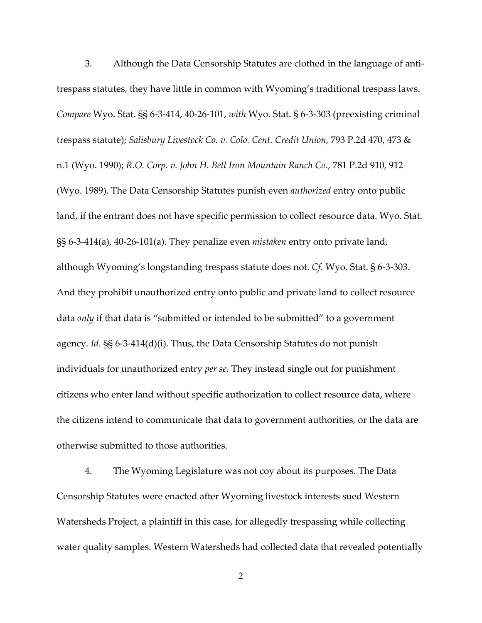3. Although the Data Censorship Statutes are clothed in the language of antitrespass statutes, they have little in common with Wyoming's traditional trespass laws. *Compare* Wyo. Stat. §§ 6-3-414, 40-26-101, *with* Wyo. Stat. § 6-3-303 (preexisting criminal trespass statute); *Salisbury Livestock Co. v. Colo. Cent. Credit Union*, 793 P.2d 470, 473 & n.1 (Wyo. 1990); *R.O. Corp. v. John H. Bell Iron Mountain Ranch Co*., 781 P.2d 910, 912 (Wyo. 1989). The Data Censorship Statutes punish even *authorized* entry onto public land, if the entrant does not have specific permission to collect resource data. Wyo. Stat. §§ 6-3-414(a), 40-26-101(a). They penalize even *mistaken* entry onto private land, although Wyoming's longstanding trespass statute does not. *Cf.* Wyo. Stat. § 6-3-303. And they prohibit unauthorized entry onto public and private land to collect resource data *only* if that data is "submitted or intended to be submitted" to a government agency. *Id*. §§ 6-3-414(d)(i). Thus, the Data Censorship Statutes do not punish individuals for unauthorized entry *per se.* They instead single out for punishment citizens who enter land without specific authorization to collect resource data, where the citizens intend to communicate that data to government authorities, or the data are otherwise submitted to those authorities.

4. The Wyoming Legislature was not coy about its purposes. The Data Censorship Statutes were enacted after Wyoming livestock interests sued Western Watersheds Project, a plaintiff in this case, for allegedly trespassing while collecting water quality samples. Western Watersheds had collected data that revealed potentially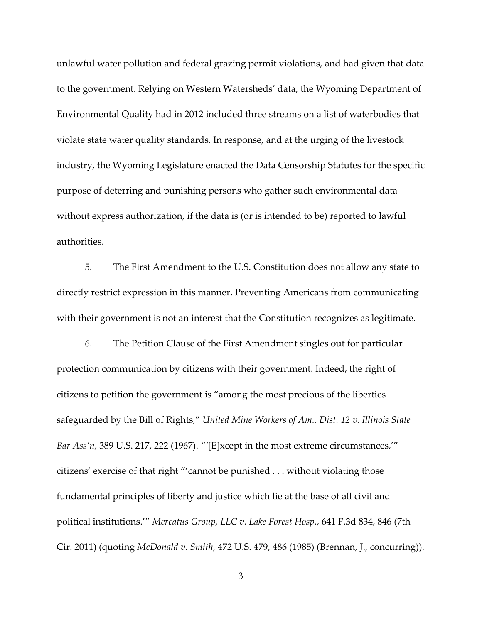unlawful water pollution and federal grazing permit violations, and had given that data to the government. Relying on Western Watersheds' data, the Wyoming Department of Environmental Quality had in 2012 included three streams on a list of waterbodies that violate state water quality standards. In response, and at the urging of the livestock industry, the Wyoming Legislature enacted the Data Censorship Statutes for the specific purpose of deterring and punishing persons who gather such environmental data without express authorization, if the data is (or is intended to be) reported to lawful authorities.

5. The First Amendment to the U.S. Constitution does not allow any state to directly restrict expression in this manner. Preventing Americans from communicating with their government is not an interest that the Constitution recognizes as legitimate.

6. The Petition Clause of the First Amendment singles out for particular protection communication by citizens with their government. Indeed, the right of citizens to petition the government is "among the most precious of the liberties safeguarded by the Bill of Rights," *United Mine Workers of Am., Dist. 12 v. Illinois State Bar Ass'n*, 389 U.S. 217, 222 (1967). *"'*[E]xcept in the most extreme circumstances,'" citizens' exercise of that right "'cannot be punished . . . without violating those fundamental principles of liberty and justice which lie at the base of all civil and political institutions.'" *Mercatus Group, LLC v. Lake Forest Hosp.*, 641 F.3d 834, 846 (7th Cir. 2011) (quoting *McDonald v. Smith*, 472 U.S. 479, 486 (1985) (Brennan, J., concurring)).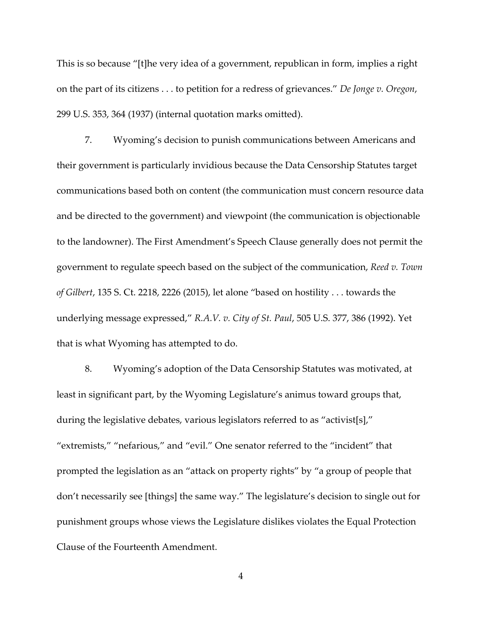This is so because "[t]he very idea of a government, republican in form, implies a right on the part of its citizens . . . to petition for a redress of grievances." *De Jonge v. Oregon*, 299 U.S. 353, 364 (1937) (internal quotation marks omitted).

7. Wyoming's decision to punish communications between Americans and their government is particularly invidious because the Data Censorship Statutes target communications based both on content (the communication must concern resource data and be directed to the government) and viewpoint (the communication is objectionable to the landowner). The First Amendment's Speech Clause generally does not permit the government to regulate speech based on the subject of the communication, *Reed v. Town of Gilbert*, 135 S. Ct. 2218, 2226 (2015), let alone "based on hostility . . . towards the underlying message expressed," *R.A.V. v. City of St. Paul*, 505 U.S. 377, 386 (1992). Yet that is what Wyoming has attempted to do.

8. Wyoming's adoption of the Data Censorship Statutes was motivated, at least in significant part, by the Wyoming Legislature's animus toward groups that, during the legislative debates, various legislators referred to as "activist[s]," "extremists," "nefarious," and "evil." One senator referred to the "incident" that prompted the legislation as an "attack on property rights" by "a group of people that don't necessarily see [things] the same way." The legislature's decision to single out for punishment groups whose views the Legislature dislikes violates the Equal Protection Clause of the Fourteenth Amendment.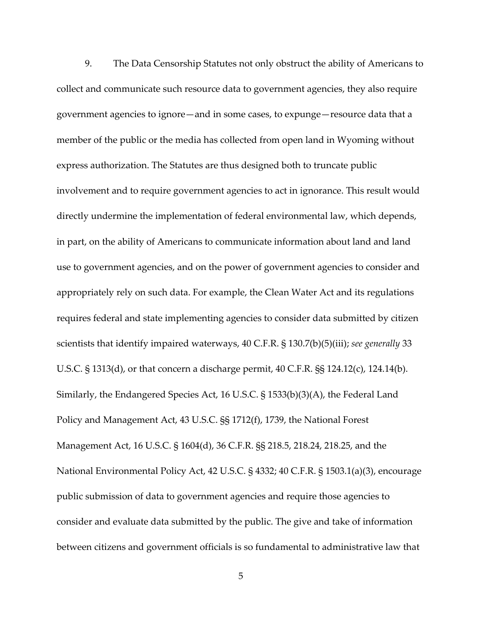9. The Data Censorship Statutes not only obstruct the ability of Americans to collect and communicate such resource data to government agencies, they also require government agencies to ignore—and in some cases, to expunge—resource data that a member of the public or the media has collected from open land in Wyoming without express authorization. The Statutes are thus designed both to truncate public involvement and to require government agencies to act in ignorance. This result would directly undermine the implementation of federal environmental law, which depends, in part, on the ability of Americans to communicate information about land and land use to government agencies, and on the power of government agencies to consider and appropriately rely on such data. For example, the Clean Water Act and its regulations requires federal and state implementing agencies to consider data submitted by citizen scientists that identify impaired waterways, 40 C.F.R. § 130.7(b)(5)(iii); *see generally* 33 U.S.C. § 1313(d), or that concern a discharge permit, 40 C.F.R. §§ 124.12(c), 124.14(b). Similarly, the Endangered Species Act, 16 U.S.C. § 1533(b)(3)(A), the Federal Land Policy and Management Act, 43 U.S.C. §§ 1712(f), 1739, the National Forest Management Act, 16 U.S.C. § 1604(d), 36 C.F.R. §§ 218.5, 218.24, 218.25, and the National Environmental Policy Act, 42 U.S.C. § 4332; 40 C.F.R. § 1503.1(a)(3), encourage public submission of data to government agencies and require those agencies to consider and evaluate data submitted by the public. The give and take of information between citizens and government officials is so fundamental to administrative law that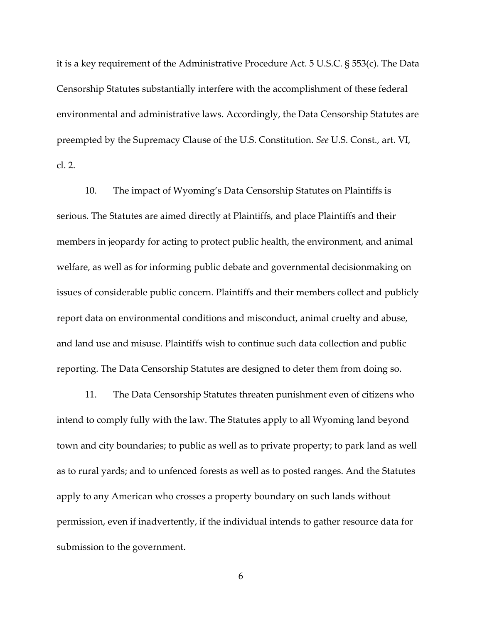it is a key requirement of the Administrative Procedure Act. 5 U.S.C. § 553(c). The Data Censorship Statutes substantially interfere with the accomplishment of these federal environmental and administrative laws. Accordingly, the Data Censorship Statutes are preempted by the Supremacy Clause of the U.S. Constitution. *See* U.S. Const., art. VI, cl. 2.

10. The impact of Wyoming's Data Censorship Statutes on Plaintiffs is serious. The Statutes are aimed directly at Plaintiffs, and place Plaintiffs and their members in jeopardy for acting to protect public health, the environment, and animal welfare, as well as for informing public debate and governmental decisionmaking on issues of considerable public concern. Plaintiffs and their members collect and publicly report data on environmental conditions and misconduct, animal cruelty and abuse, and land use and misuse. Plaintiffs wish to continue such data collection and public reporting. The Data Censorship Statutes are designed to deter them from doing so.

11. The Data Censorship Statutes threaten punishment even of citizens who intend to comply fully with the law. The Statutes apply to all Wyoming land beyond town and city boundaries; to public as well as to private property; to park land as well as to rural yards; and to unfenced forests as well as to posted ranges. And the Statutes apply to any American who crosses a property boundary on such lands without permission, even if inadvertently, if the individual intends to gather resource data for submission to the government.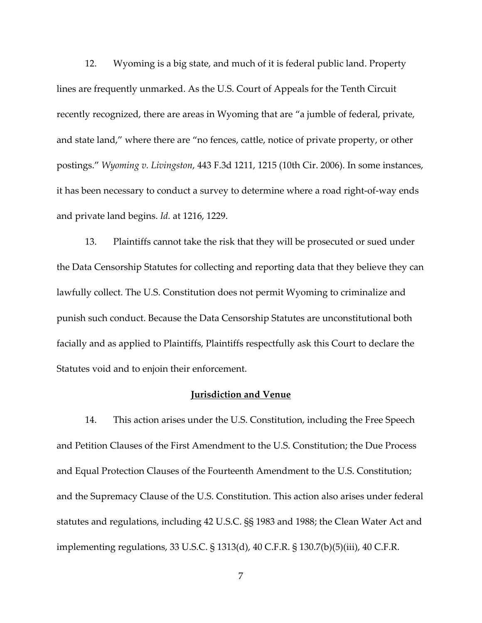12. Wyoming is a big state, and much of it is federal public land. Property lines are frequently unmarked. As the U.S. Court of Appeals for the Tenth Circuit recently recognized, there are areas in Wyoming that are "a jumble of federal, private, and state land," where there are "no fences, cattle, notice of private property, or other postings." *Wyoming v. Livingston*, 443 F.3d 1211, 1215 (10th Cir. 2006). In some instances, it has been necessary to conduct a survey to determine where a road right-of-way ends and private land begins. *Id.* at 1216, 1229.

13. Plaintiffs cannot take the risk that they will be prosecuted or sued under the Data Censorship Statutes for collecting and reporting data that they believe they can lawfully collect. The U.S. Constitution does not permit Wyoming to criminalize and punish such conduct. Because the Data Censorship Statutes are unconstitutional both facially and as applied to Plaintiffs, Plaintiffs respectfully ask this Court to declare the Statutes void and to enjoin their enforcement.

#### **Jurisdiction and Venue**

14. This action arises under the U.S. Constitution, including the Free Speech and Petition Clauses of the First Amendment to the U.S. Constitution; the Due Process and Equal Protection Clauses of the Fourteenth Amendment to the U.S. Constitution; and the Supremacy Clause of the U.S. Constitution. This action also arises under federal statutes and regulations, including 42 U.S.C. §§ 1983 and 1988; the Clean Water Act and implementing regulations, 33 U.S.C. § 1313(d), 40 C.F.R. § 130.7(b)(5)(iii), 40 C.F.R.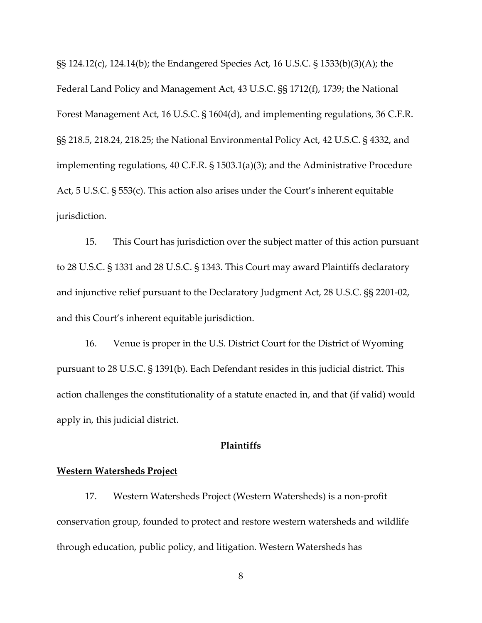§§ 124.12(c), 124.14(b); the Endangered Species Act, 16 U.S.C. § 1533(b)(3)(A); the Federal Land Policy and Management Act, 43 U.S.C. §§ 1712(f), 1739; the National Forest Management Act, 16 U.S.C. § 1604(d), and implementing regulations, 36 C.F.R. §§ 218.5, 218.24, 218.25; the National Environmental Policy Act, 42 U.S.C. § 4332, and implementing regulations, 40 C.F.R. § 1503.1(a)(3); and the Administrative Procedure Act, 5 U.S.C. § 553(c). This action also arises under the Court's inherent equitable jurisdiction.

15. This Court has jurisdiction over the subject matter of this action pursuant to 28 U.S.C. § 1331 and 28 U.S.C. § 1343. This Court may award Plaintiffs declaratory and injunctive relief pursuant to the Declaratory Judgment Act, 28 U.S.C. §§ 2201-02, and this Court's inherent equitable jurisdiction.

16. Venue is proper in the U.S. District Court for the District of Wyoming pursuant to 28 U.S.C. § 1391(b). Each Defendant resides in this judicial district. This action challenges the constitutionality of a statute enacted in, and that (if valid) would apply in, this judicial district.

# **Plaintiffs**

# **Western Watersheds Project**

17. Western Watersheds Project (Western Watersheds) is a non-profit conservation group, founded to protect and restore western watersheds and wildlife through education, public policy, and litigation. Western Watersheds has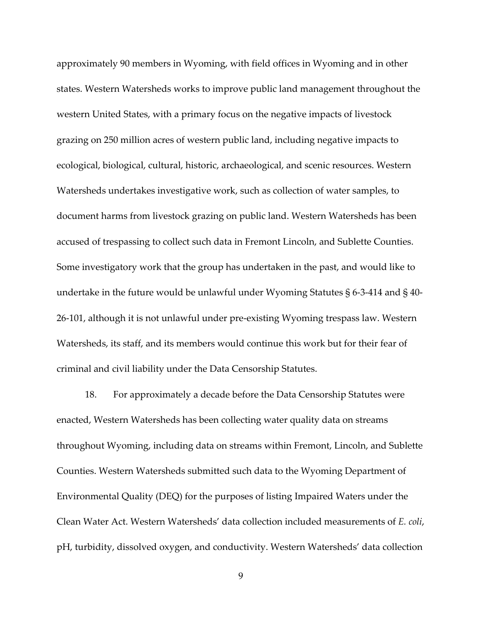approximately 90 members in Wyoming, with field offices in Wyoming and in other states. Western Watersheds works to improve public land management throughout the western United States, with a primary focus on the negative impacts of livestock grazing on 250 million acres of western public land, including negative impacts to ecological, biological, cultural, historic, archaeological, and scenic resources. Western Watersheds undertakes investigative work, such as collection of water samples, to document harms from livestock grazing on public land. Western Watersheds has been accused of trespassing to collect such data in Fremont Lincoln, and Sublette Counties. Some investigatory work that the group has undertaken in the past, and would like to undertake in the future would be unlawful under Wyoming Statutes § 6-3-414 and § 40- 26-101, although it is not unlawful under pre-existing Wyoming trespass law. Western Watersheds, its staff, and its members would continue this work but for their fear of criminal and civil liability under the Data Censorship Statutes.

18. For approximately a decade before the Data Censorship Statutes were enacted, Western Watersheds has been collecting water quality data on streams throughout Wyoming, including data on streams within Fremont, Lincoln, and Sublette Counties. Western Watersheds submitted such data to the Wyoming Department of Environmental Quality (DEQ) for the purposes of listing Impaired Waters under the Clean Water Act. Western Watersheds' data collection included measurements of *E. coli*, pH, turbidity, dissolved oxygen, and conductivity. Western Watersheds' data collection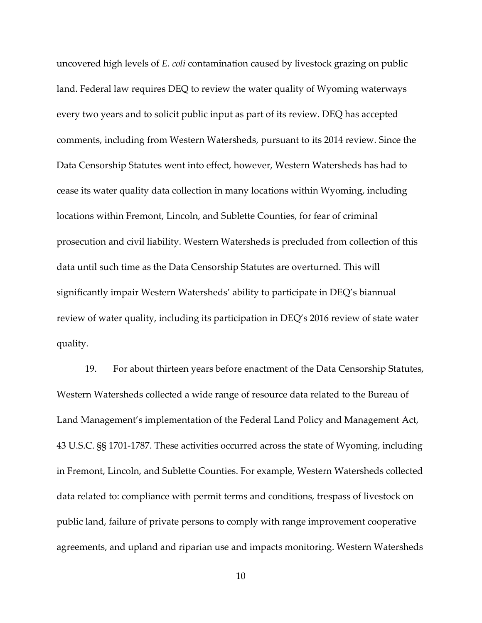uncovered high levels of *E. coli* contamination caused by livestock grazing on public land. Federal law requires DEQ to review the water quality of Wyoming waterways every two years and to solicit public input as part of its review. DEQ has accepted comments, including from Western Watersheds, pursuant to its 2014 review. Since the Data Censorship Statutes went into effect, however, Western Watersheds has had to cease its water quality data collection in many locations within Wyoming, including locations within Fremont, Lincoln, and Sublette Counties, for fear of criminal prosecution and civil liability. Western Watersheds is precluded from collection of this data until such time as the Data Censorship Statutes are overturned. This will significantly impair Western Watersheds' ability to participate in DEQ's biannual review of water quality, including its participation in DEQ's 2016 review of state water quality.

19. For about thirteen years before enactment of the Data Censorship Statutes, Western Watersheds collected a wide range of resource data related to the Bureau of Land Management's implementation of the Federal Land Policy and Management Act, 43 U.S.C. §§ 1701-1787. These activities occurred across the state of Wyoming, including in Fremont, Lincoln, and Sublette Counties. For example, Western Watersheds collected data related to: compliance with permit terms and conditions, trespass of livestock on public land, failure of private persons to comply with range improvement cooperative agreements, and upland and riparian use and impacts monitoring. Western Watersheds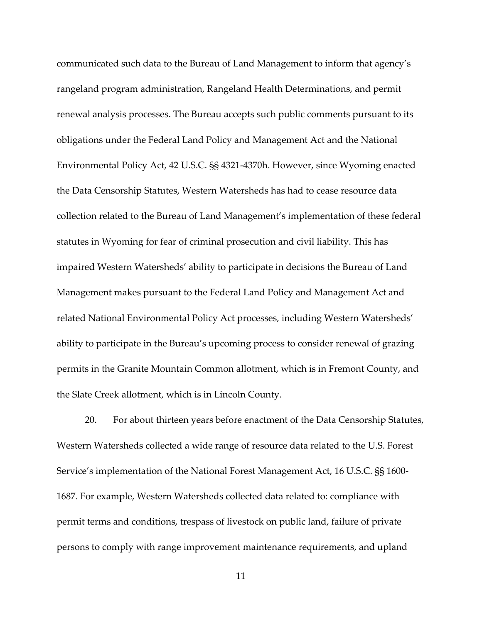communicated such data to the Bureau of Land Management to inform that agency's rangeland program administration, Rangeland Health Determinations, and permit renewal analysis processes. The Bureau accepts such public comments pursuant to its obligations under the Federal Land Policy and Management Act and the National Environmental Policy Act, 42 U.S.C. §§ 4321-4370h. However, since Wyoming enacted the Data Censorship Statutes, Western Watersheds has had to cease resource data collection related to the Bureau of Land Management's implementation of these federal statutes in Wyoming for fear of criminal prosecution and civil liability. This has impaired Western Watersheds' ability to participate in decisions the Bureau of Land Management makes pursuant to the Federal Land Policy and Management Act and related National Environmental Policy Act processes, including Western Watersheds' ability to participate in the Bureau's upcoming process to consider renewal of grazing permits in the Granite Mountain Common allotment, which is in Fremont County, and the Slate Creek allotment, which is in Lincoln County.

20. For about thirteen years before enactment of the Data Censorship Statutes, Western Watersheds collected a wide range of resource data related to the U.S. Forest Service's implementation of the National Forest Management Act, 16 U.S.C. §§ 1600- 1687. For example, Western Watersheds collected data related to: compliance with permit terms and conditions, trespass of livestock on public land, failure of private persons to comply with range improvement maintenance requirements, and upland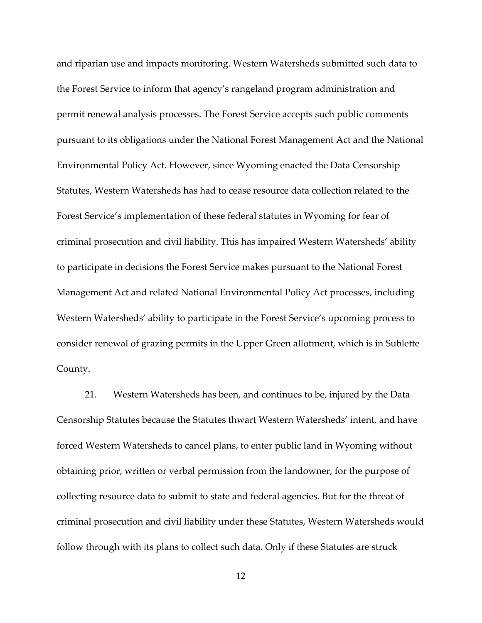and riparian use and impacts monitoring. Western Watersheds submitted such data to the Forest Service to inform that agency's rangeland program administration and permit renewal analysis processes. The Forest Service accepts such public comments pursuant to its obligations under the National Forest Management Act and the National Environmental Policy Act. However, since Wyoming enacted the Data Censorship Statutes, Western Watersheds has had to cease resource data collection related to the Forest Service's implementation of these federal statutes in Wyoming for fear of criminal prosecution and civil liability. This has impaired Western Watersheds' ability to participate in decisions the Forest Service makes pursuant to the National Forest Management Act and related National Environmental Policy Act processes, including Western Watersheds' ability to participate in the Forest Service's upcoming process to consider renewal of grazing permits in the Upper Green allotment, which is in Sublette County.

21. Western Watersheds has been, and continues to be, injured by the Data Censorship Statutes because the Statutes thwart Western Watersheds' intent, and have forced Western Watersheds to cancel plans, to enter public land in Wyoming without obtaining prior, written or verbal permission from the landowner, for the purpose of collecting resource data to submit to state and federal agencies. But for the threat of criminal prosecution and civil liability under these Statutes, Western Watersheds would follow through with its plans to collect such data. Only if these Statutes are struck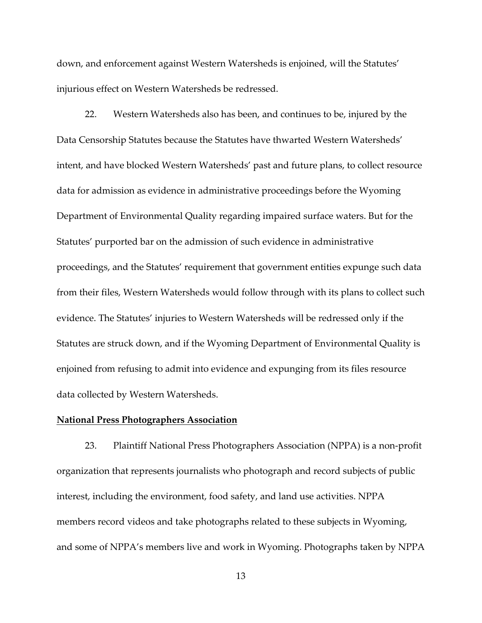down, and enforcement against Western Watersheds is enjoined, will the Statutes' injurious effect on Western Watersheds be redressed.

22. Western Watersheds also has been, and continues to be, injured by the Data Censorship Statutes because the Statutes have thwarted Western Watersheds' intent, and have blocked Western Watersheds' past and future plans, to collect resource data for admission as evidence in administrative proceedings before the Wyoming Department of Environmental Quality regarding impaired surface waters. But for the Statutes' purported bar on the admission of such evidence in administrative proceedings, and the Statutes' requirement that government entities expunge such data from their files, Western Watersheds would follow through with its plans to collect such evidence. The Statutes' injuries to Western Watersheds will be redressed only if the Statutes are struck down, and if the Wyoming Department of Environmental Quality is enjoined from refusing to admit into evidence and expunging from its files resource data collected by Western Watersheds.

# **National Press Photographers Association**

23. Plaintiff National Press Photographers Association (NPPA) is a non-profit organization that represents journalists who photograph and record subjects of public interest, including the environment, food safety, and land use activities. NPPA members record videos and take photographs related to these subjects in Wyoming, and some of NPPA's members live and work in Wyoming. Photographs taken by NPPA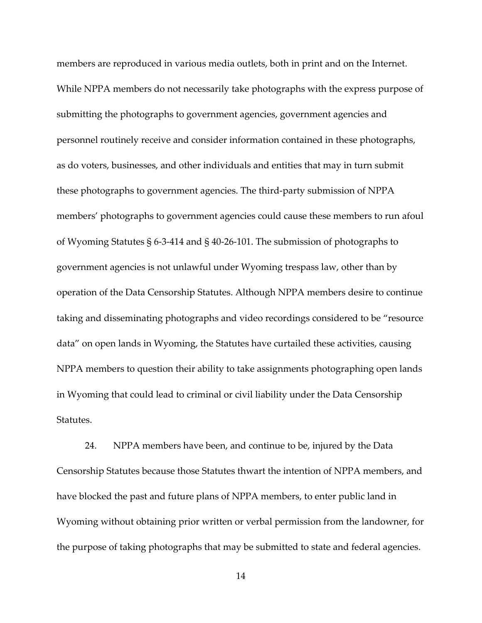members are reproduced in various media outlets, both in print and on the Internet. While NPPA members do not necessarily take photographs with the express purpose of submitting the photographs to government agencies, government agencies and personnel routinely receive and consider information contained in these photographs, as do voters, businesses, and other individuals and entities that may in turn submit these photographs to government agencies. The third-party submission of NPPA members' photographs to government agencies could cause these members to run afoul of Wyoming Statutes § 6-3-414 and § 40-26-101. The submission of photographs to government agencies is not unlawful under Wyoming trespass law, other than by operation of the Data Censorship Statutes. Although NPPA members desire to continue taking and disseminating photographs and video recordings considered to be "resource data" on open lands in Wyoming, the Statutes have curtailed these activities, causing NPPA members to question their ability to take assignments photographing open lands in Wyoming that could lead to criminal or civil liability under the Data Censorship Statutes.

24. NPPA members have been, and continue to be, injured by the Data Censorship Statutes because those Statutes thwart the intention of NPPA members, and have blocked the past and future plans of NPPA members, to enter public land in Wyoming without obtaining prior written or verbal permission from the landowner, for the purpose of taking photographs that may be submitted to state and federal agencies.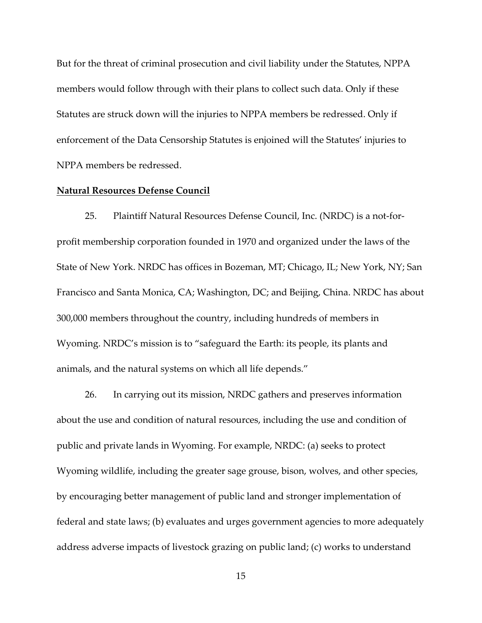But for the threat of criminal prosecution and civil liability under the Statutes, NPPA members would follow through with their plans to collect such data. Only if these Statutes are struck down will the injuries to NPPA members be redressed. Only if enforcement of the Data Censorship Statutes is enjoined will the Statutes' injuries to NPPA members be redressed.

## **Natural Resources Defense Council**

25. Plaintiff Natural Resources Defense Council, Inc. (NRDC) is a not-forprofit membership corporation founded in 1970 and organized under the laws of the State of New York. NRDC has offices in Bozeman, MT; Chicago, IL; New York, NY; San Francisco and Santa Monica, CA; Washington, DC; and Beijing, China. NRDC has about 300,000 members throughout the country, including hundreds of members in Wyoming. NRDC's mission is to "safeguard the Earth: its people, its plants and animals, and the natural systems on which all life depends."

26. In carrying out its mission, NRDC gathers and preserves information about the use and condition of natural resources, including the use and condition of public and private lands in Wyoming. For example, NRDC: (a) seeks to protect Wyoming wildlife, including the greater sage grouse, bison, wolves, and other species, by encouraging better management of public land and stronger implementation of federal and state laws; (b) evaluates and urges government agencies to more adequately address adverse impacts of livestock grazing on public land; (c) works to understand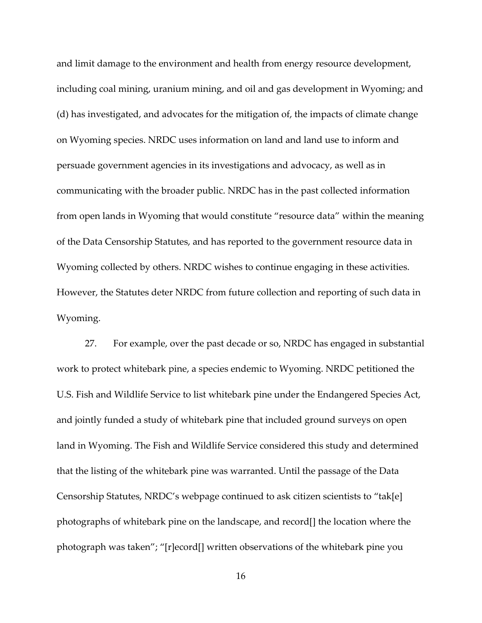and limit damage to the environment and health from energy resource development, including coal mining, uranium mining, and oil and gas development in Wyoming; and (d) has investigated, and advocates for the mitigation of, the impacts of climate change on Wyoming species. NRDC uses information on land and land use to inform and persuade government agencies in its investigations and advocacy, as well as in communicating with the broader public. NRDC has in the past collected information from open lands in Wyoming that would constitute "resource data" within the meaning of the Data Censorship Statutes, and has reported to the government resource data in Wyoming collected by others. NRDC wishes to continue engaging in these activities. However, the Statutes deter NRDC from future collection and reporting of such data in Wyoming.

27. For example, over the past decade or so, NRDC has engaged in substantial work to protect whitebark pine, a species endemic to Wyoming. NRDC petitioned the U.S. Fish and Wildlife Service to list whitebark pine under the Endangered Species Act, and jointly funded a study of whitebark pine that included ground surveys on open land in Wyoming. The Fish and Wildlife Service considered this study and determined that the listing of the whitebark pine was warranted. Until the passage of the Data Censorship Statutes, NRDC's webpage continued to ask citizen scientists to "tak[e] photographs of whitebark pine on the landscape, and record[] the location where the photograph was taken"; "[r]ecord[] written observations of the whitebark pine you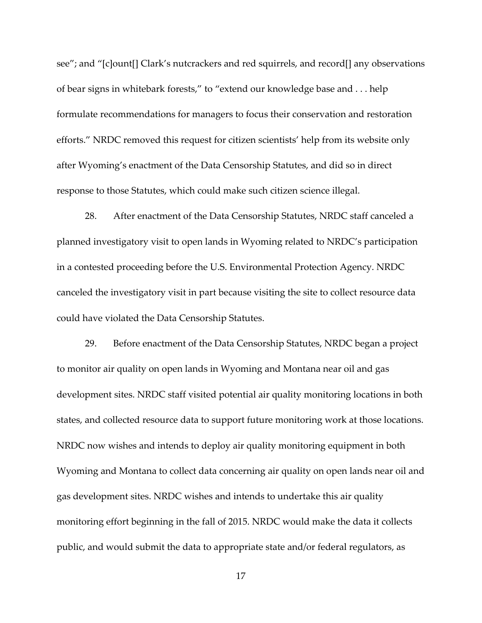see"; and "[c]ount[] Clark's nutcrackers and red squirrels, and record[] any observations of bear signs in whitebark forests," to "extend our knowledge base and . . . help formulate recommendations for managers to focus their conservation and restoration efforts." NRDC removed this request for citizen scientists' help from its website only after Wyoming's enactment of the Data Censorship Statutes, and did so in direct response to those Statutes, which could make such citizen science illegal.

28. After enactment of the Data Censorship Statutes, NRDC staff canceled a planned investigatory visit to open lands in Wyoming related to NRDC's participation in a contested proceeding before the U.S. Environmental Protection Agency. NRDC canceled the investigatory visit in part because visiting the site to collect resource data could have violated the Data Censorship Statutes.

29. Before enactment of the Data Censorship Statutes, NRDC began a project to monitor air quality on open lands in Wyoming and Montana near oil and gas development sites. NRDC staff visited potential air quality monitoring locations in both states, and collected resource data to support future monitoring work at those locations. NRDC now wishes and intends to deploy air quality monitoring equipment in both Wyoming and Montana to collect data concerning air quality on open lands near oil and gas development sites. NRDC wishes and intends to undertake this air quality monitoring effort beginning in the fall of 2015. NRDC would make the data it collects public, and would submit the data to appropriate state and/or federal regulators, as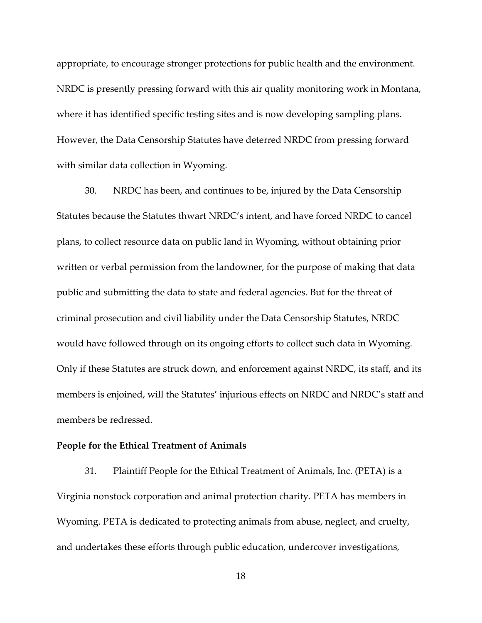appropriate, to encourage stronger protections for public health and the environment. NRDC is presently pressing forward with this air quality monitoring work in Montana, where it has identified specific testing sites and is now developing sampling plans. However, the Data Censorship Statutes have deterred NRDC from pressing forward with similar data collection in Wyoming.

30. NRDC has been, and continues to be, injured by the Data Censorship Statutes because the Statutes thwart NRDC's intent, and have forced NRDC to cancel plans, to collect resource data on public land in Wyoming, without obtaining prior written or verbal permission from the landowner, for the purpose of making that data public and submitting the data to state and federal agencies. But for the threat of criminal prosecution and civil liability under the Data Censorship Statutes, NRDC would have followed through on its ongoing efforts to collect such data in Wyoming. Only if these Statutes are struck down, and enforcement against NRDC, its staff, and its members is enjoined, will the Statutes' injurious effects on NRDC and NRDC's staff and members be redressed.

### **People for the Ethical Treatment of Animals**

31. Plaintiff People for the Ethical Treatment of Animals, Inc. (PETA) is a Virginia nonstock corporation and animal protection charity. PETA has members in Wyoming. PETA is dedicated to protecting animals from abuse, neglect, and cruelty, and undertakes these efforts through public education, undercover investigations,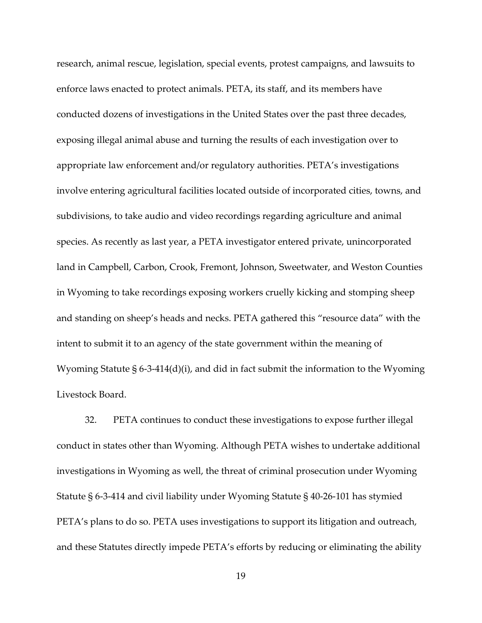research, animal rescue, legislation, special events, protest campaigns, and lawsuits to enforce laws enacted to protect animals. PETA, its staff, and its members have conducted dozens of investigations in the United States over the past three decades, exposing illegal animal abuse and turning the results of each investigation over to appropriate law enforcement and/or regulatory authorities. PETA's investigations involve entering agricultural facilities located outside of incorporated cities, towns, and subdivisions, to take audio and video recordings regarding agriculture and animal species. As recently as last year, a PETA investigator entered private, unincorporated land in Campbell, Carbon, Crook, Fremont, Johnson, Sweetwater, and Weston Counties in Wyoming to take recordings exposing workers cruelly kicking and stomping sheep and standing on sheep's heads and necks. PETA gathered this "resource data" with the intent to submit it to an agency of the state government within the meaning of Wyoming Statute § 6-3-414(d)(i), and did in fact submit the information to the Wyoming Livestock Board.

32. PETA continues to conduct these investigations to expose further illegal conduct in states other than Wyoming. Although PETA wishes to undertake additional investigations in Wyoming as well, the threat of criminal prosecution under Wyoming Statute § 6-3-414 and civil liability under Wyoming Statute § 40-26-101 has stymied PETA's plans to do so. PETA uses investigations to support its litigation and outreach, and these Statutes directly impede PETA's efforts by reducing or eliminating the ability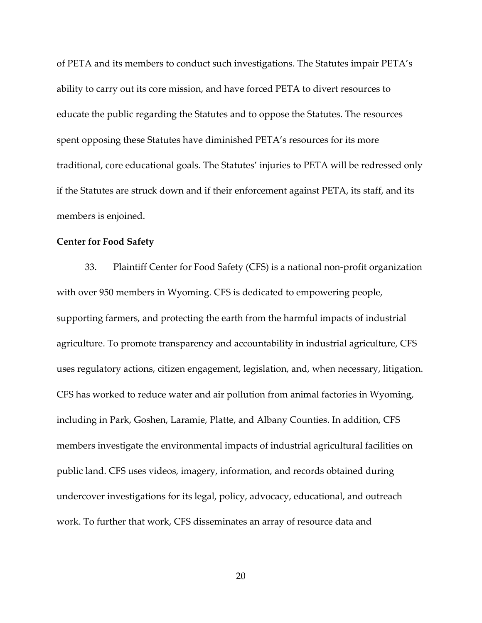of PETA and its members to conduct such investigations. The Statutes impair PETA's ability to carry out its core mission, and have forced PETA to divert resources to educate the public regarding the Statutes and to oppose the Statutes. The resources spent opposing these Statutes have diminished PETA's resources for its more traditional, core educational goals. The Statutes' injuries to PETA will be redressed only if the Statutes are struck down and if their enforcement against PETA, its staff, and its members is enjoined.

# **Center for Food Safety**

33. Plaintiff Center for Food Safety (CFS) is a national non-profit organization with over 950 members in Wyoming. CFS is dedicated to empowering people, supporting farmers, and protecting the earth from the harmful impacts of industrial agriculture. To promote transparency and accountability in industrial agriculture, CFS uses regulatory actions, citizen engagement, legislation, and, when necessary, litigation. CFS has worked to reduce water and air pollution from animal factories in Wyoming, including in Park, Goshen, Laramie, Platte, and Albany Counties. In addition, CFS members investigate the environmental impacts of industrial agricultural facilities on public land. CFS uses videos, imagery, information, and records obtained during undercover investigations for its legal, policy, advocacy, educational, and outreach work. To further that work, CFS disseminates an array of resource data and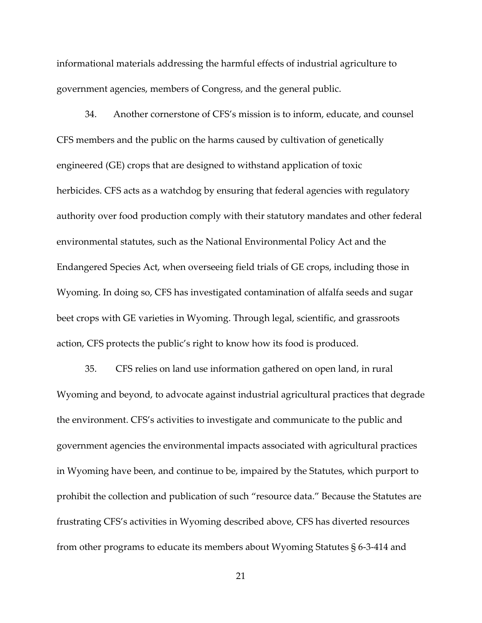informational materials addressing the harmful effects of industrial agriculture to government agencies, members of Congress, and the general public.

34. Another cornerstone of CFS's mission is to inform, educate, and counsel CFS members and the public on the harms caused by cultivation of genetically engineered (GE) crops that are designed to withstand application of toxic herbicides. CFS acts as a watchdog by ensuring that federal agencies with regulatory authority over food production comply with their statutory mandates and other federal environmental statutes, such as the National Environmental Policy Act and the Endangered Species Act, when overseeing field trials of GE crops, including those in Wyoming. In doing so, CFS has investigated contamination of alfalfa seeds and sugar beet crops with GE varieties in Wyoming. Through legal, scientific, and grassroots action, CFS protects the public's right to know how its food is produced.

35. CFS relies on land use information gathered on open land, in rural Wyoming and beyond, to advocate against industrial agricultural practices that degrade the environment. CFS's activities to investigate and communicate to the public and government agencies the environmental impacts associated with agricultural practices in Wyoming have been, and continue to be, impaired by the Statutes, which purport to prohibit the collection and publication of such "resource data." Because the Statutes are frustrating CFS's activities in Wyoming described above, CFS has diverted resources from other programs to educate its members about Wyoming Statutes § 6-3-414 and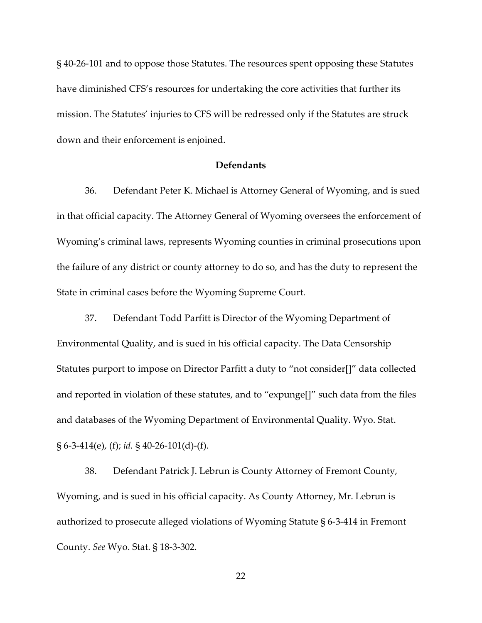§ 40-26-101 and to oppose those Statutes. The resources spent opposing these Statutes have diminished CFS's resources for undertaking the core activities that further its mission. The Statutes' injuries to CFS will be redressed only if the Statutes are struck down and their enforcement is enjoined.

# **Defendants**

36. Defendant Peter K. Michael is Attorney General of Wyoming, and is sued in that official capacity. The Attorney General of Wyoming oversees the enforcement of Wyoming's criminal laws, represents Wyoming counties in criminal prosecutions upon the failure of any district or county attorney to do so, and has the duty to represent the State in criminal cases before the Wyoming Supreme Court.

37. Defendant Todd Parfitt is Director of the Wyoming Department of Environmental Quality, and is sued in his official capacity. The Data Censorship Statutes purport to impose on Director Parfitt a duty to "not consider[]" data collected and reported in violation of these statutes, and to "expunge[]" such data from the files and databases of the Wyoming Department of Environmental Quality. Wyo. Stat. § 6-3-414(e), (f); *id.* § 40-26-101(d)-(f).

38. Defendant Patrick J. Lebrun is County Attorney of Fremont County, Wyoming, and is sued in his official capacity. As County Attorney, Mr. Lebrun is authorized to prosecute alleged violations of Wyoming Statute § 6-3-414 in Fremont County. *See* Wyo. Stat. § 18-3-302.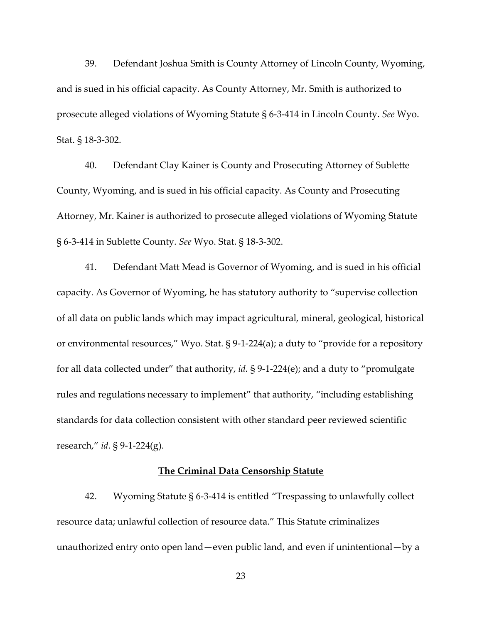39. Defendant Joshua Smith is County Attorney of Lincoln County, Wyoming, and is sued in his official capacity. As County Attorney, Mr. Smith is authorized to prosecute alleged violations of Wyoming Statute § 6-3-414 in Lincoln County. *See* Wyo. Stat. § 18-3-302.

40. Defendant Clay Kainer is County and Prosecuting Attorney of Sublette County, Wyoming, and is sued in his official capacity. As County and Prosecuting Attorney, Mr. Kainer is authorized to prosecute alleged violations of Wyoming Statute § 6-3-414 in Sublette County. *See* Wyo. Stat. § 18-3-302.

41. Defendant Matt Mead is Governor of Wyoming, and is sued in his official capacity. As Governor of Wyoming, he has statutory authority to "supervise collection of all data on public lands which may impact agricultural, mineral, geological, historical or environmental resources," Wyo. Stat. § 9-1-224(a); a duty to "provide for a repository for all data collected under" that authority, *id.* § 9-1-224(e); and a duty to "promulgate rules and regulations necessary to implement" that authority, "including establishing standards for data collection consistent with other standard peer reviewed scientific research," *id.* § 9-1-224(g).

# **The Criminal Data Censorship Statute**

42. Wyoming Statute § 6-3-414 is entitled "Trespassing to unlawfully collect resource data; unlawful collection of resource data." This Statute criminalizes unauthorized entry onto open land—even public land, and even if unintentional—by a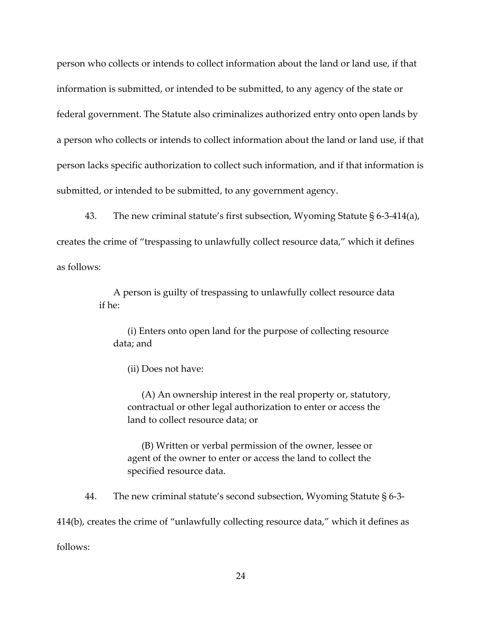person who collects or intends to collect information about the land or land use, if that information is submitted, or intended to be submitted, to any agency of the state or federal government. The Statute also criminalizes authorized entry onto open lands by a person who collects or intends to collect information about the land or land use, if that person lacks specific authorization to collect such information, and if that information is submitted, or intended to be submitted, to any government agency.

43. The new criminal statute's first subsection, Wyoming Statute § 6-3-414(a), creates the crime of "trespassing to unlawfully collect resource data," which it defines as follows:

> A person is guilty of trespassing to unlawfully collect resource data if he:

(i) Enters onto open land for the purpose of collecting resource data; and

(ii) Does not have:

(A) An ownership interest in the real property or, statutory, contractual or other legal authorization to enter or access the land to collect resource data; or

(B) Written or verbal permission of the owner, lessee or agent of the owner to enter or access the land to collect the specified resource data.

44. The new criminal statute's second subsection, Wyoming Statute § 6-3- 414(b), creates the crime of "unlawfully collecting resource data," which it defines as follows: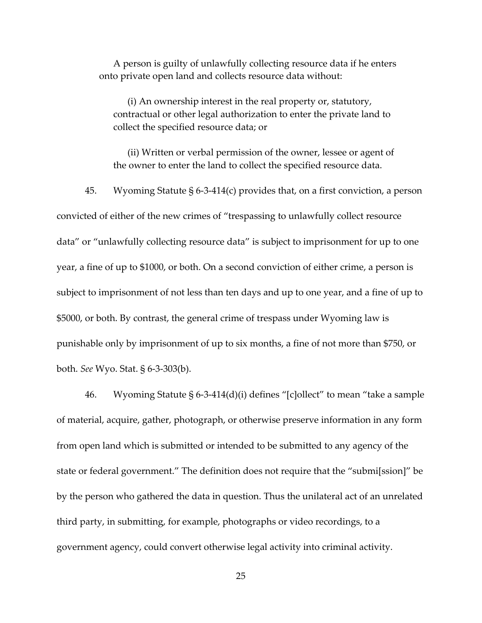A person is guilty of unlawfully collecting resource data if he enters onto private open land and collects resource data without:

(i) An ownership interest in the real property or, statutory, contractual or other legal authorization to enter the private land to collect the specified resource data; or

(ii) Written or verbal permission of the owner, lessee or agent of the owner to enter the land to collect the specified resource data.

45. Wyoming Statute § 6-3-414(c) provides that, on a first conviction, a person convicted of either of the new crimes of "trespassing to unlawfully collect resource data" or "unlawfully collecting resource data" is subject to imprisonment for up to one year, a fine of up to \$1000, or both. On a second conviction of either crime, a person is subject to imprisonment of not less than ten days and up to one year, and a fine of up to \$5000, or both. By contrast, the general crime of trespass under Wyoming law is punishable only by imprisonment of up to six months, a fine of not more than \$750, or both. *See* Wyo. Stat. § 6-3-303(b).

46. Wyoming Statute § 6-3-414(d)(i) defines "[c]ollect" to mean "take a sample of material, acquire, gather, photograph, or otherwise preserve information in any form from open land which is submitted or intended to be submitted to any agency of the state or federal government." The definition does not require that the "submi[ssion]" be by the person who gathered the data in question. Thus the unilateral act of an unrelated third party, in submitting, for example, photographs or video recordings, to a government agency, could convert otherwise legal activity into criminal activity.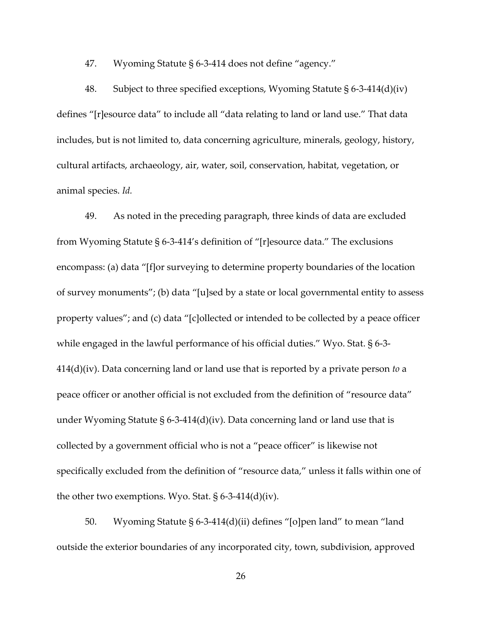47. Wyoming Statute § 6-3-414 does not define "agency."

48. Subject to three specified exceptions, Wyoming Statute § 6-3-414(d)(iv) defines "[r]esource data" to include all "data relating to land or land use." That data includes, but is not limited to, data concerning agriculture, minerals, geology, history, cultural artifacts, archaeology, air, water, soil, conservation, habitat, vegetation, or animal species. *Id.*

49. As noted in the preceding paragraph, three kinds of data are excluded from Wyoming Statute § 6-3-414's definition of "[r]esource data." The exclusions encompass: (a) data "[f]or surveying to determine property boundaries of the location of survey monuments"; (b) data "[u]sed by a state or local governmental entity to assess property values"; and (c) data "[c]ollected or intended to be collected by a peace officer while engaged in the lawful performance of his official duties." Wyo. Stat. § 6-3- 414(d)(iv). Data concerning land or land use that is reported by a private person *to* a peace officer or another official is not excluded from the definition of "resource data" under Wyoming Statute § 6-3-414(d)(iv). Data concerning land or land use that is collected by a government official who is not a "peace officer" is likewise not specifically excluded from the definition of "resource data," unless it falls within one of the other two exemptions. Wyo. Stat.  $\S$  6-3-414(d)(iv).

50. Wyoming Statute § 6-3-414(d)(ii) defines "[o]pen land" to mean "land outside the exterior boundaries of any incorporated city, town, subdivision, approved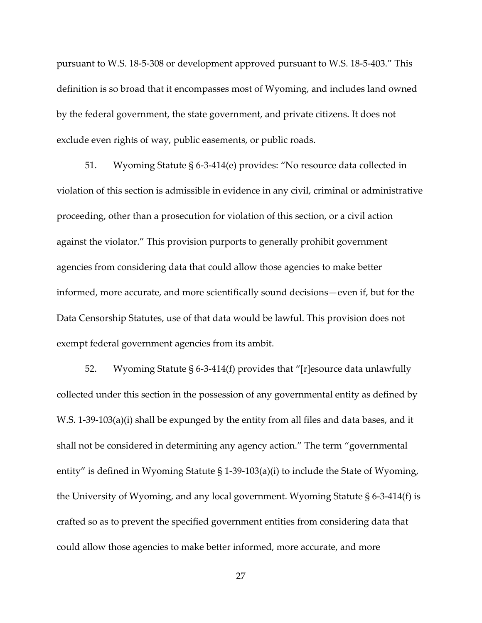pursuant to W.S. 18-5-308 or development approved pursuant to W.S. 18-5-403." This definition is so broad that it encompasses most of Wyoming, and includes land owned by the federal government, the state government, and private citizens. It does not exclude even rights of way, public easements, or public roads.

51. Wyoming Statute § 6-3-414(e) provides: "No resource data collected in violation of this section is admissible in evidence in any civil, criminal or administrative proceeding, other than a prosecution for violation of this section, or a civil action against the violator." This provision purports to generally prohibit government agencies from considering data that could allow those agencies to make better informed, more accurate, and more scientifically sound decisions—even if, but for the Data Censorship Statutes, use of that data would be lawful. This provision does not exempt federal government agencies from its ambit.

52. Wyoming Statute § 6-3-414(f) provides that "[r]esource data unlawfully collected under this section in the possession of any governmental entity as defined by W.S. 1-39-103(a)(i) shall be expunged by the entity from all files and data bases, and it shall not be considered in determining any agency action." The term "governmental entity" is defined in Wyoming Statute § 1-39-103(a)(i) to include the State of Wyoming, the University of Wyoming, and any local government. Wyoming Statute § 6-3-414(f) is crafted so as to prevent the specified government entities from considering data that could allow those agencies to make better informed, more accurate, and more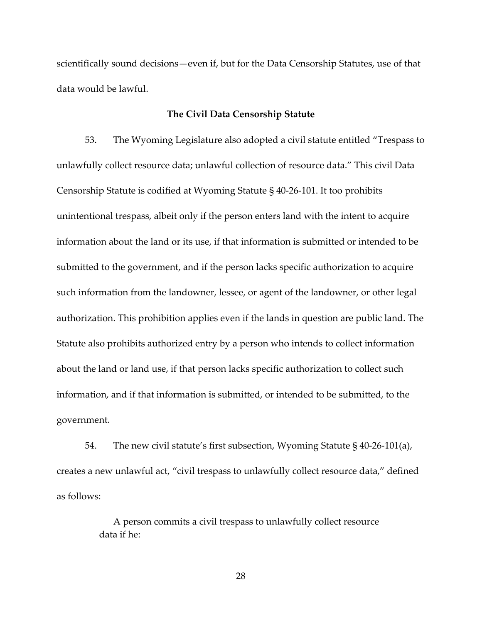scientifically sound decisions—even if, but for the Data Censorship Statutes, use of that data would be lawful.

## **The Civil Data Censorship Statute**

53. The Wyoming Legislature also adopted a civil statute entitled "Trespass to unlawfully collect resource data; unlawful collection of resource data." This civil Data Censorship Statute is codified at Wyoming Statute § 40-26-101. It too prohibits unintentional trespass, albeit only if the person enters land with the intent to acquire information about the land or its use, if that information is submitted or intended to be submitted to the government, and if the person lacks specific authorization to acquire such information from the landowner, lessee, or agent of the landowner, or other legal authorization. This prohibition applies even if the lands in question are public land. The Statute also prohibits authorized entry by a person who intends to collect information about the land or land use, if that person lacks specific authorization to collect such information, and if that information is submitted, or intended to be submitted, to the government.

54. The new civil statute's first subsection, Wyoming Statute § 40-26-101(a), creates a new unlawful act, "civil trespass to unlawfully collect resource data," defined as follows:

> A person commits a civil trespass to unlawfully collect resource data if he: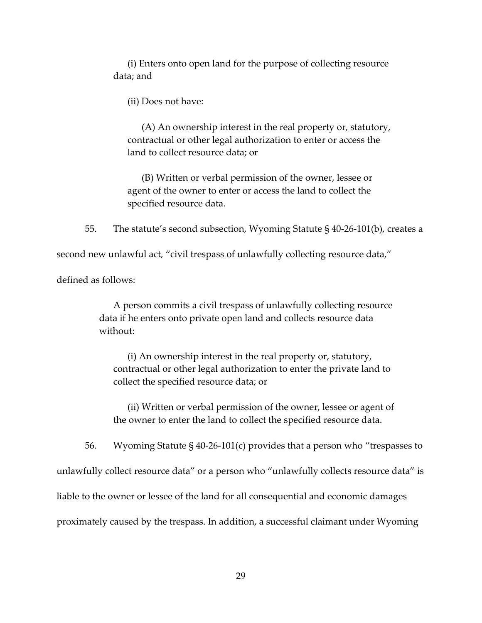(i) Enters onto open land for the purpose of collecting resource data; and

(ii) Does not have:

(A) An ownership interest in the real property or, statutory, contractual or other legal authorization to enter or access the land to collect resource data; or

(B) Written or verbal permission of the owner, lessee or agent of the owner to enter or access the land to collect the specified resource data.

55. The statute's second subsection, Wyoming Statute § 40-26-101(b), creates a

second new unlawful act, "civil trespass of unlawfully collecting resource data,"

defined as follows:

A person commits a civil trespass of unlawfully collecting resource data if he enters onto private open land and collects resource data without:

(i) An ownership interest in the real property or, statutory, contractual or other legal authorization to enter the private land to collect the specified resource data; or

(ii) Written or verbal permission of the owner, lessee or agent of the owner to enter the land to collect the specified resource data.

56. Wyoming Statute § 40-26-101(c) provides that a person who "trespasses to

unlawfully collect resource data" or a person who "unlawfully collects resource data" is

liable to the owner or lessee of the land for all consequential and economic damages

proximately caused by the trespass. In addition, a successful claimant under Wyoming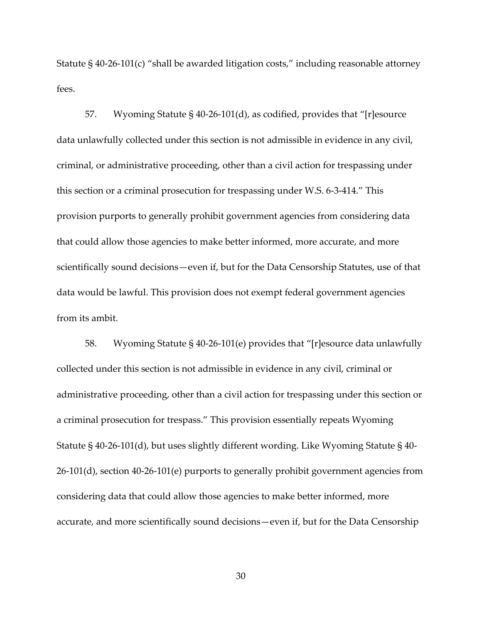Statute § 40-26-101(c) "shall be awarded litigation costs," including reasonable attorney fees.

57. Wyoming Statute § 40-26-101(d), as codified, provides that "[r]esource data unlawfully collected under this section is not admissible in evidence in any civil, criminal, or administrative proceeding, other than a civil action for trespassing under this section or a criminal prosecution for trespassing under W.S. 6-3-414." This provision purports to generally prohibit government agencies from considering data that could allow those agencies to make better informed, more accurate, and more scientifically sound decisions—even if, but for the Data Censorship Statutes, use of that data would be lawful. This provision does not exempt federal government agencies from its ambit.

58. Wyoming Statute § 40-26-101(e) provides that "[r]esource data unlawfully collected under this section is not admissible in evidence in any civil, criminal or administrative proceeding, other than a civil action for trespassing under this section or a criminal prosecution for trespass." This provision essentially repeats Wyoming Statute § 40-26-101(d), but uses slightly different wording. Like Wyoming Statute § 40- 26-101(d), section 40-26-101(e) purports to generally prohibit government agencies from considering data that could allow those agencies to make better informed, more accurate, and more scientifically sound decisions—even if, but for the Data Censorship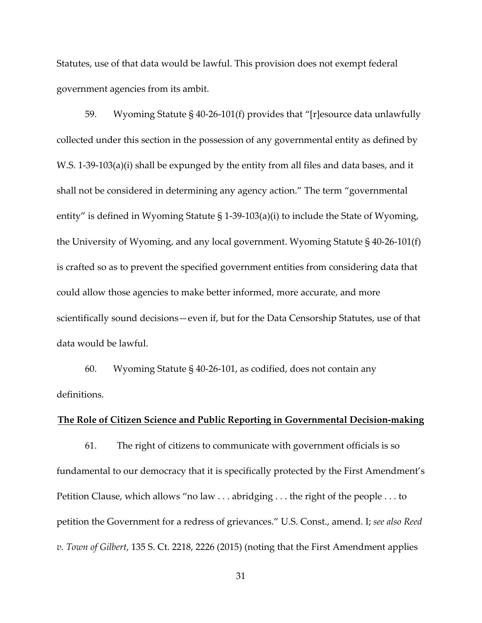Statutes, use of that data would be lawful. This provision does not exempt federal government agencies from its ambit.

59. Wyoming Statute § 40-26-101(f) provides that "[r]esource data unlawfully collected under this section in the possession of any governmental entity as defined by W.S. 1-39-103(a)(i) shall be expunged by the entity from all files and data bases, and it shall not be considered in determining any agency action." The term "governmental entity" is defined in Wyoming Statute § 1-39-103(a)(i) to include the State of Wyoming, the University of Wyoming, and any local government. Wyoming Statute § 40-26-101(f) is crafted so as to prevent the specified government entities from considering data that could allow those agencies to make better informed, more accurate, and more scientifically sound decisions—even if, but for the Data Censorship Statutes, use of that data would be lawful.

60. Wyoming Statute § 40-26-101, as codified, does not contain any definitions.

## **The Role of Citizen Science and Public Reporting in Governmental Decision-making**

61. The right of citizens to communicate with government officials is so fundamental to our democracy that it is specifically protected by the First Amendment's Petition Clause, which allows "no law . . . abridging . . . the right of the people . . . to petition the Government for a redress of grievances." U.S. Const., amend. I; *see also Reed v. Town of Gilbert*, 135 S. Ct. 2218, 2226 (2015) (noting that the First Amendment applies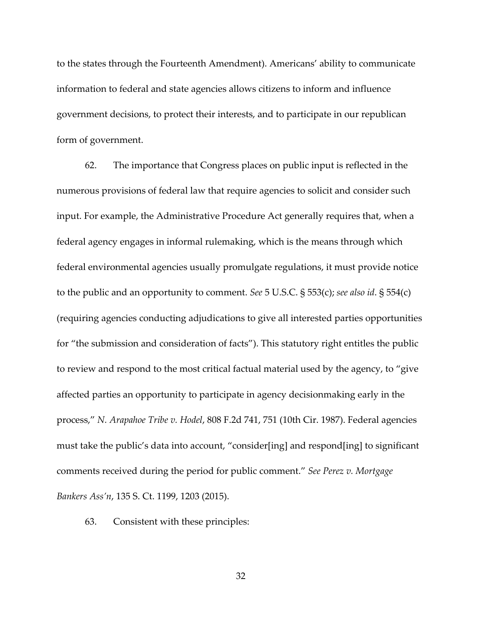to the states through the Fourteenth Amendment). Americans' ability to communicate information to federal and state agencies allows citizens to inform and influence government decisions, to protect their interests, and to participate in our republican form of government.

62. The importance that Congress places on public input is reflected in the numerous provisions of federal law that require agencies to solicit and consider such input. For example, the Administrative Procedure Act generally requires that, when a federal agency engages in informal rulemaking, which is the means through which federal environmental agencies usually promulgate regulations, it must provide notice to the public and an opportunity to comment. *See* 5 U.S.C. § 553(c); *see also id*. § 554(c) (requiring agencies conducting adjudications to give all interested parties opportunities for "the submission and consideration of facts"). This statutory right entitles the public to review and respond to the most critical factual material used by the agency, to "give affected parties an opportunity to participate in agency decisionmaking early in the process," *N. Arapahoe Tribe v. Hodel*, 808 F.2d 741, 751 (10th Cir. 1987). Federal agencies must take the public's data into account, "consider[ing] and respond[ing] to significant comments received during the period for public comment." *See Perez v. Mortgage Bankers Ass'n*, 135 S. Ct. 1199, 1203 (2015).

63. Consistent with these principles: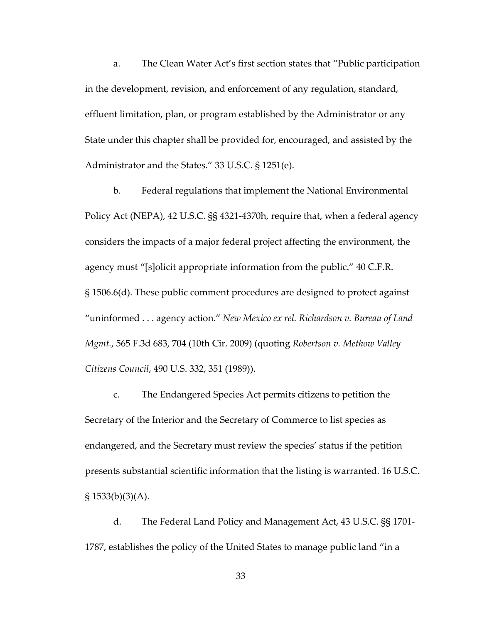a. The Clean Water Act's first section states that "Public participation in the development, revision, and enforcement of any regulation, standard, effluent limitation, plan, or program established by the Administrator or any State under this chapter shall be provided for, encouraged, and assisted by the Administrator and the States." 33 U.S.C. § 1251(e).

b. Federal regulations that implement the National Environmental Policy Act (NEPA), 42 U.S.C. §§ 4321-4370h, require that, when a federal agency considers the impacts of a major federal project affecting the environment, the agency must "[s]olicit appropriate information from the public." 40 C.F.R. § 1506.6(d). These public comment procedures are designed to protect against "uninformed . . . agency action." *New Mexico ex rel. Richardson v. Bureau of Land Mgmt.*, 565 F.3d 683, 704 (10th Cir. 2009) (quoting *Robertson v. Methow Valley Citizens Council*, 490 U.S. 332, 351 (1989)).

c. The Endangered Species Act permits citizens to petition the Secretary of the Interior and the Secretary of Commerce to list species as endangered, and the Secretary must review the species' status if the petition presents substantial scientific information that the listing is warranted. 16 U.S.C.  $\S 1533(b)(3)(A)$ .

d. The Federal Land Policy and Management Act, 43 U.S.C. §§ 1701- 1787, establishes the policy of the United States to manage public land "in a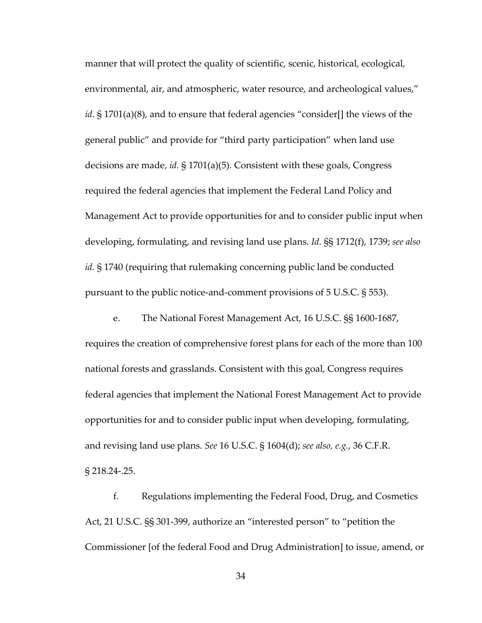manner that will protect the quality of scientific, scenic, historical, ecological, environmental, air, and atmospheric, water resource, and archeological values," *id*. § 1701(a)(8), and to ensure that federal agencies "consider[] the views of the general public" and provide for "third party participation" when land use decisions are made, *id.* § 1701(a)(5). Consistent with these goals, Congress required the federal agencies that implement the Federal Land Policy and Management Act to provide opportunities for and to consider public input when developing, formulating, and revising land use plans. *Id.* §§ 1712(f), 1739; *see also id.* § 1740 (requiring that rulemaking concerning public land be conducted pursuant to the public notice-and-comment provisions of 5 U.S.C. § 553).

e. The National Forest Management Act, 16 U.S.C. §§ 1600-1687, requires the creation of comprehensive forest plans for each of the more than 100 national forests and grasslands. Consistent with this goal, Congress requires federal agencies that implement the National Forest Management Act to provide opportunities for and to consider public input when developing, formulating, and revising land use plans. *See* 16 U.S.C. § 1604(d); *see also, e.g.*, 36 C.F.R. § 218.24-.25.

f. Regulations implementing the Federal Food, Drug, and Cosmetics Act, 21 U.S.C. §§ 301-399, authorize an "interested person" to "petition the Commissioner [of the federal Food and Drug Administration] to issue, amend, or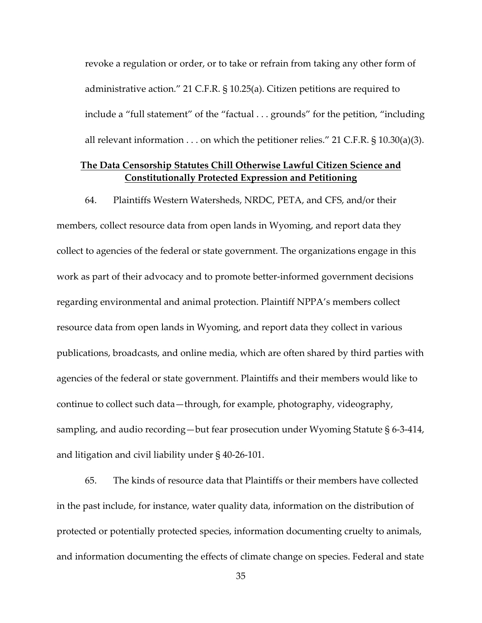revoke a regulation or order, or to take or refrain from taking any other form of administrative action." 21 C.F.R. § 10.25(a). Citizen petitions are required to include a "full statement" of the "factual . . . grounds" for the petition, "including all relevant information  $\ldots$  on which the petitioner relies." 21 C.F.R. § 10.30(a)(3).

# **The Data Censorship Statutes Chill Otherwise Lawful Citizen Science and Constitutionally Protected Expression and Petitioning**

64. Plaintiffs Western Watersheds, NRDC, PETA, and CFS, and/or their members, collect resource data from open lands in Wyoming, and report data they collect to agencies of the federal or state government. The organizations engage in this work as part of their advocacy and to promote better-informed government decisions regarding environmental and animal protection. Plaintiff NPPA's members collect resource data from open lands in Wyoming, and report data they collect in various publications, broadcasts, and online media, which are often shared by third parties with agencies of the federal or state government. Plaintiffs and their members would like to continue to collect such data—through, for example, photography, videography, sampling, and audio recording—but fear prosecution under Wyoming Statute § 6-3-414, and litigation and civil liability under § 40-26-101.

65. The kinds of resource data that Plaintiffs or their members have collected in the past include, for instance, water quality data, information on the distribution of protected or potentially protected species, information documenting cruelty to animals, and information documenting the effects of climate change on species. Federal and state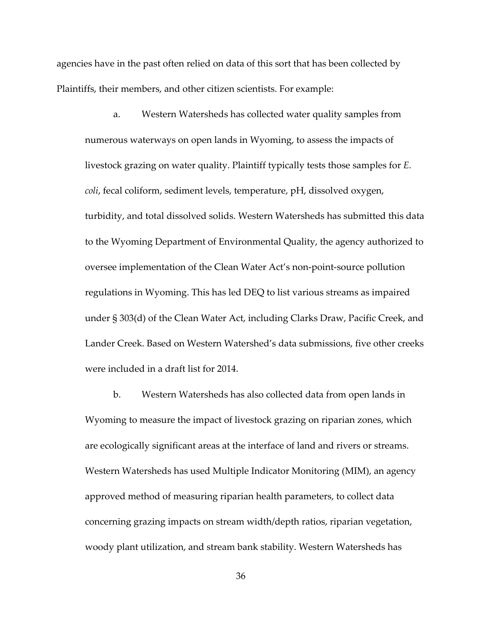agencies have in the past often relied on data of this sort that has been collected by Plaintiffs, their members, and other citizen scientists. For example:

a. Western Watersheds has collected water quality samples from numerous waterways on open lands in Wyoming, to assess the impacts of livestock grazing on water quality. Plaintiff typically tests those samples for *E. coli*, fecal coliform, sediment levels, temperature, pH, dissolved oxygen, turbidity, and total dissolved solids. Western Watersheds has submitted this data to the Wyoming Department of Environmental Quality, the agency authorized to oversee implementation of the Clean Water Act's non-point-source pollution regulations in Wyoming. This has led DEQ to list various streams as impaired under § 303(d) of the Clean Water Act, including Clarks Draw, Pacific Creek, and Lander Creek. Based on Western Watershed's data submissions, five other creeks were included in a draft list for 2014.

b. Western Watersheds has also collected data from open lands in Wyoming to measure the impact of livestock grazing on riparian zones, which are ecologically significant areas at the interface of land and rivers or streams. Western Watersheds has used Multiple Indicator Monitoring (MIM), an agency approved method of measuring riparian health parameters, to collect data concerning grazing impacts on stream width/depth ratios, riparian vegetation, woody plant utilization, and stream bank stability. Western Watersheds has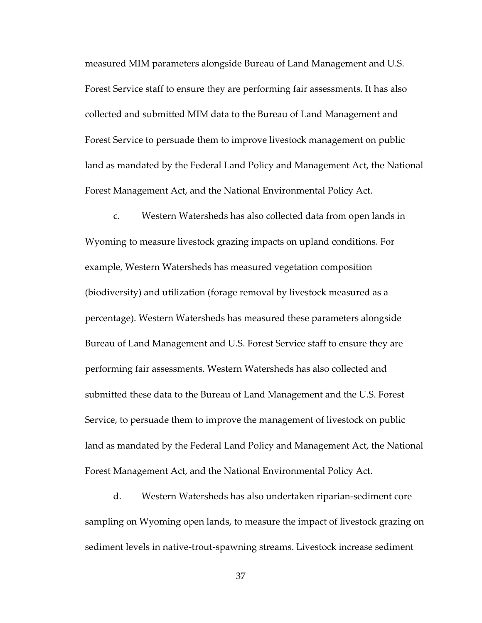measured MIM parameters alongside Bureau of Land Management and U.S. Forest Service staff to ensure they are performing fair assessments. It has also collected and submitted MIM data to the Bureau of Land Management and Forest Service to persuade them to improve livestock management on public land as mandated by the Federal Land Policy and Management Act, the National Forest Management Act, and the National Environmental Policy Act.

c. Western Watersheds has also collected data from open lands in Wyoming to measure livestock grazing impacts on upland conditions. For example, Western Watersheds has measured vegetation composition (biodiversity) and utilization (forage removal by livestock measured as a percentage). Western Watersheds has measured these parameters alongside Bureau of Land Management and U.S. Forest Service staff to ensure they are performing fair assessments. Western Watersheds has also collected and submitted these data to the Bureau of Land Management and the U.S. Forest Service, to persuade them to improve the management of livestock on public land as mandated by the Federal Land Policy and Management Act, the National Forest Management Act, and the National Environmental Policy Act.

d. Western Watersheds has also undertaken riparian-sediment core sampling on Wyoming open lands, to measure the impact of livestock grazing on sediment levels in native-trout-spawning streams. Livestock increase sediment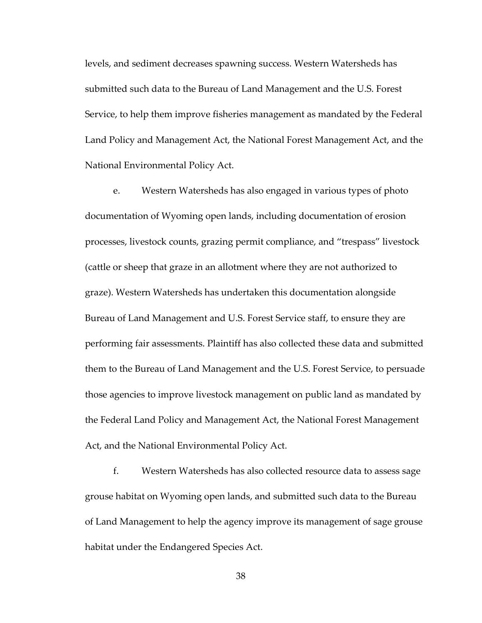levels, and sediment decreases spawning success. Western Watersheds has submitted such data to the Bureau of Land Management and the U.S. Forest Service, to help them improve fisheries management as mandated by the Federal Land Policy and Management Act, the National Forest Management Act, and the National Environmental Policy Act.

e. Western Watersheds has also engaged in various types of photo documentation of Wyoming open lands, including documentation of erosion processes, livestock counts, grazing permit compliance, and "trespass" livestock (cattle or sheep that graze in an allotment where they are not authorized to graze). Western Watersheds has undertaken this documentation alongside Bureau of Land Management and U.S. Forest Service staff, to ensure they are performing fair assessments. Plaintiff has also collected these data and submitted them to the Bureau of Land Management and the U.S. Forest Service, to persuade those agencies to improve livestock management on public land as mandated by the Federal Land Policy and Management Act, the National Forest Management Act, and the National Environmental Policy Act.

f. Western Watersheds has also collected resource data to assess sage grouse habitat on Wyoming open lands, and submitted such data to the Bureau of Land Management to help the agency improve its management of sage grouse habitat under the Endangered Species Act.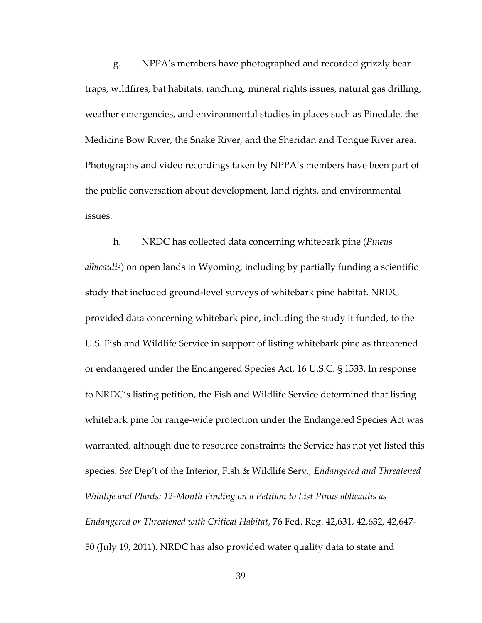g. NPPA's members have photographed and recorded grizzly bear traps, wildfires, bat habitats, ranching, mineral rights issues, natural gas drilling, weather emergencies, and environmental studies in places such as Pinedale, the Medicine Bow River, the Snake River, and the Sheridan and Tongue River area. Photographs and video recordings taken by NPPA's members have been part of the public conversation about development, land rights, and environmental issues.

h. NRDC has collected data concerning whitebark pine (*Pineus albicaulis*) on open lands in Wyoming, including by partially funding a scientific study that included ground-level surveys of whitebark pine habitat. NRDC provided data concerning whitebark pine, including the study it funded, to the U.S. Fish and Wildlife Service in support of listing whitebark pine as threatened or endangered under the Endangered Species Act, 16 U.S.C. § 1533. In response to NRDC's listing petition, the Fish and Wildlife Service determined that listing whitebark pine for range-wide protection under the Endangered Species Act was warranted, although due to resource constraints the Service has not yet listed this species. *See* Dep't of the Interior, Fish & Wildlife Serv., *Endangered and Threatened Wildlife and Plants: 12-Month Finding on a Petition to List Pinus ablicaulis as Endangered or Threatened with Critical Habitat*, 76 Fed. Reg. 42,631, 42,632, 42,647- 50 (July 19, 2011). NRDC has also provided water quality data to state and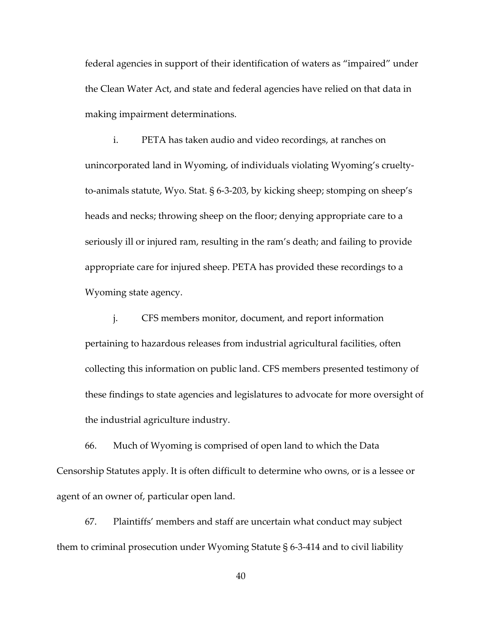federal agencies in support of their identification of waters as "impaired" under the Clean Water Act, and state and federal agencies have relied on that data in making impairment determinations.

i. PETA has taken audio and video recordings, at ranches on unincorporated land in Wyoming, of individuals violating Wyoming's crueltyto-animals statute, Wyo. Stat. § 6-3-203, by kicking sheep; stomping on sheep's heads and necks; throwing sheep on the floor; denying appropriate care to a seriously ill or injured ram, resulting in the ram's death; and failing to provide appropriate care for injured sheep. PETA has provided these recordings to a Wyoming state agency.

j. CFS members monitor, document, and report information pertaining to hazardous releases from industrial agricultural facilities, often collecting this information on public land. CFS members presented testimony of these findings to state agencies and legislatures to advocate for more oversight of the industrial agriculture industry.

66. Much of Wyoming is comprised of open land to which the Data Censorship Statutes apply. It is often difficult to determine who owns, or is a lessee or agent of an owner of, particular open land.

67. Plaintiffs' members and staff are uncertain what conduct may subject them to criminal prosecution under Wyoming Statute § 6-3-414 and to civil liability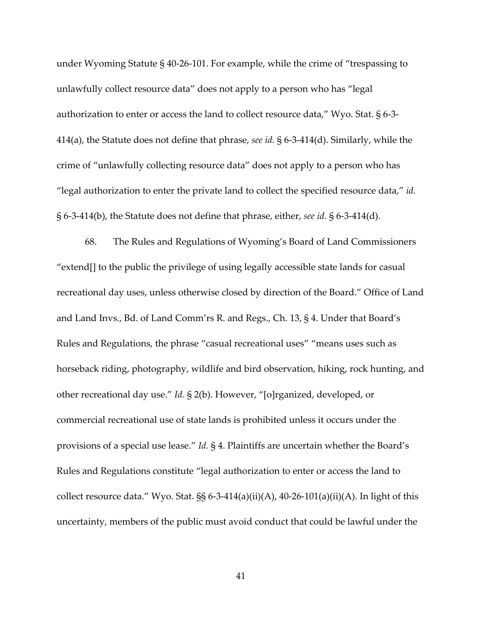under Wyoming Statute § 40-26-101. For example, while the crime of "trespassing to unlawfully collect resource data" does not apply to a person who has "legal authorization to enter or access the land to collect resource data," Wyo. Stat. § 6-3- 414(a), the Statute does not define that phrase, *see id.* § 6-3-414(d). Similarly, while the crime of "unlawfully collecting resource data" does not apply to a person who has "legal authorization to enter the private land to collect the specified resource data," *id.* § 6-3-414(b), the Statute does not define that phrase, either, *see id.* § 6-3-414(d).

68. The Rules and Regulations of Wyoming's Board of Land Commissioners "extend[] to the public the privilege of using legally accessible state lands for casual recreational day uses, unless otherwise closed by direction of the Board." Office of Land and Land Invs., Bd. of Land Comm'rs R. and Regs., Ch. 13, § 4. Under that Board's Rules and Regulations, the phrase "casual recreational uses" "means uses such as horseback riding, photography, wildlife and bird observation, hiking, rock hunting, and other recreational day use." *Id.* § 2(b). However, "[o]rganized, developed, or commercial recreational use of state lands is prohibited unless it occurs under the provisions of a special use lease." *Id.* § 4. Plaintiffs are uncertain whether the Board's Rules and Regulations constitute "legal authorization to enter or access the land to collect resource data." Wyo. Stat.  $\S$ § 6-3-414(a)(ii)(A), 40-26-101(a)(ii)(A). In light of this uncertainty, members of the public must avoid conduct that could be lawful under the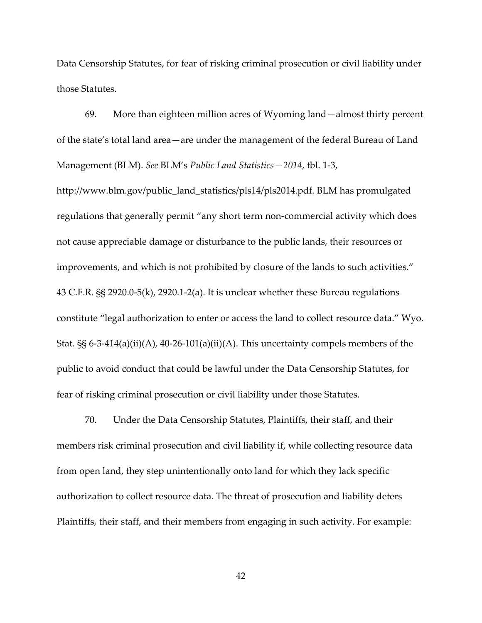Data Censorship Statutes, for fear of risking criminal prosecution or civil liability under those Statutes.

69. More than eighteen million acres of Wyoming land—almost thirty percent of the state's total land area—are under the management of the federal Bureau of Land Management (BLM). *See* BLM's *Public Land Statistics—2014*, tbl. 1-3,

http://www.blm.gov/public\_land\_statistics/pls14/pls2014.pdf. BLM has promulgated regulations that generally permit "any short term non-commercial activity which does not cause appreciable damage or disturbance to the public lands, their resources or improvements, and which is not prohibited by closure of the lands to such activities." 43 C.F.R. §§ 2920.0-5(k), 2920.1-2(a). It is unclear whether these Bureau regulations constitute "legal authorization to enter or access the land to collect resource data." Wyo. Stat. §§ 6-3-414(a)(ii)(A), 40-26-101(a)(ii)(A). This uncertainty compels members of the public to avoid conduct that could be lawful under the Data Censorship Statutes, for fear of risking criminal prosecution or civil liability under those Statutes.

70. Under the Data Censorship Statutes, Plaintiffs, their staff, and their members risk criminal prosecution and civil liability if, while collecting resource data from open land, they step unintentionally onto land for which they lack specific authorization to collect resource data. The threat of prosecution and liability deters Plaintiffs, their staff, and their members from engaging in such activity. For example: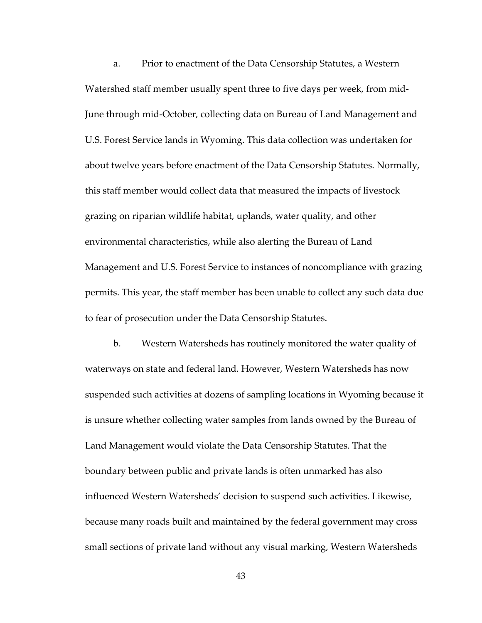a. Prior to enactment of the Data Censorship Statutes, a Western Watershed staff member usually spent three to five days per week, from mid-June through mid-October, collecting data on Bureau of Land Management and U.S. Forest Service lands in Wyoming. This data collection was undertaken for about twelve years before enactment of the Data Censorship Statutes. Normally, this staff member would collect data that measured the impacts of livestock grazing on riparian wildlife habitat, uplands, water quality, and other environmental characteristics, while also alerting the Bureau of Land Management and U.S. Forest Service to instances of noncompliance with grazing permits. This year, the staff member has been unable to collect any such data due to fear of prosecution under the Data Censorship Statutes.

b. Western Watersheds has routinely monitored the water quality of waterways on state and federal land. However, Western Watersheds has now suspended such activities at dozens of sampling locations in Wyoming because it is unsure whether collecting water samples from lands owned by the Bureau of Land Management would violate the Data Censorship Statutes. That the boundary between public and private lands is often unmarked has also influenced Western Watersheds' decision to suspend such activities. Likewise, because many roads built and maintained by the federal government may cross small sections of private land without any visual marking, Western Watersheds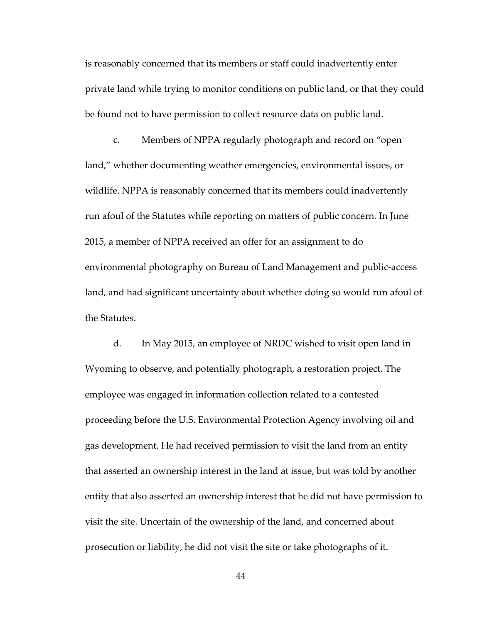is reasonably concerned that its members or staff could inadvertently enter private land while trying to monitor conditions on public land, or that they could be found not to have permission to collect resource data on public land.

c. Members of NPPA regularly photograph and record on "open land," whether documenting weather emergencies, environmental issues, or wildlife. NPPA is reasonably concerned that its members could inadvertently run afoul of the Statutes while reporting on matters of public concern. In June 2015, a member of NPPA received an offer for an assignment to do environmental photography on Bureau of Land Management and public-access land, and had significant uncertainty about whether doing so would run afoul of the Statutes.

d. In May 2015, an employee of NRDC wished to visit open land in Wyoming to observe, and potentially photograph, a restoration project. The employee was engaged in information collection related to a contested proceeding before the U.S. Environmental Protection Agency involving oil and gas development. He had received permission to visit the land from an entity that asserted an ownership interest in the land at issue, but was told by another entity that also asserted an ownership interest that he did not have permission to visit the site. Uncertain of the ownership of the land, and concerned about prosecution or liability, he did not visit the site or take photographs of it.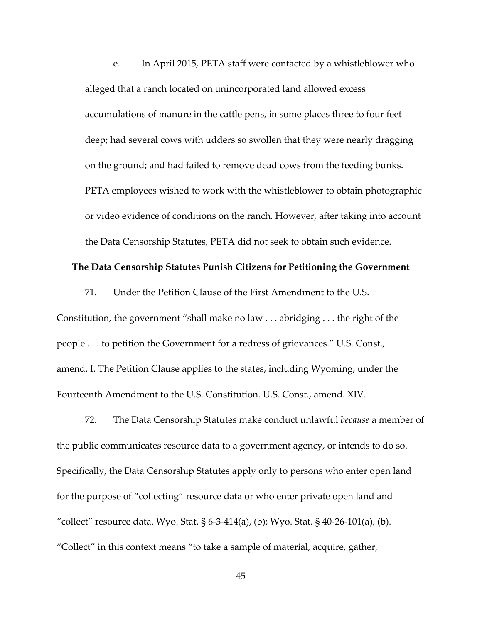e. In April 2015, PETA staff were contacted by a whistleblower who alleged that a ranch located on unincorporated land allowed excess accumulations of manure in the cattle pens, in some places three to four feet deep; had several cows with udders so swollen that they were nearly dragging on the ground; and had failed to remove dead cows from the feeding bunks. PETA employees wished to work with the whistleblower to obtain photographic or video evidence of conditions on the ranch. However, after taking into account the Data Censorship Statutes, PETA did not seek to obtain such evidence.

#### **The Data Censorship Statutes Punish Citizens for Petitioning the Government**

Constitution, the government "shall make no law . . . abridging . . . the right of the people . . . to petition the Government for a redress of grievances." U.S. Const., amend. I. The Petition Clause applies to the states, including Wyoming, under the Fourteenth Amendment to the U.S. Constitution. U.S. Const., amend. XIV.

71. Under the Petition Clause of the First Amendment to the U.S.

72. The Data Censorship Statutes make conduct unlawful *because* a member of the public communicates resource data to a government agency, or intends to do so. Specifically, the Data Censorship Statutes apply only to persons who enter open land for the purpose of "collecting" resource data or who enter private open land and "collect" resource data. Wyo. Stat. § 6-3-414(a), (b); Wyo. Stat. § 40-26-101(a), (b). "Collect" in this context means "to take a sample of material, acquire, gather,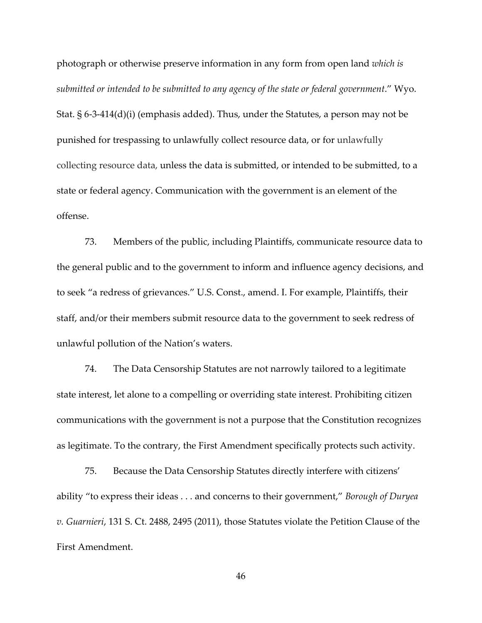photograph or otherwise preserve information in any form from open land *which is submitted or intended to be submitted to any agency of the state or federal government*." Wyo. Stat. § 6-3-414(d)(i) (emphasis added). Thus, under the Statutes, a person may not be punished for trespassing to unlawfully collect resource data, or for unlawfully collecting resource data, unless the data is submitted, or intended to be submitted, to a state or federal agency. Communication with the government is an element of the offense.

73. Members of the public, including Plaintiffs, communicate resource data to the general public and to the government to inform and influence agency decisions, and to seek "a redress of grievances." U.S. Const., amend. I. For example, Plaintiffs, their staff, and/or their members submit resource data to the government to seek redress of unlawful pollution of the Nation's waters.

74. The Data Censorship Statutes are not narrowly tailored to a legitimate state interest, let alone to a compelling or overriding state interest. Prohibiting citizen communications with the government is not a purpose that the Constitution recognizes as legitimate. To the contrary, the First Amendment specifically protects such activity.

75. Because the Data Censorship Statutes directly interfere with citizens' ability "to express their ideas . . . and concerns to their government," *Borough of Duryea v. Guarnieri*, 131 S. Ct. 2488, 2495 (2011), those Statutes violate the Petition Clause of the First Amendment.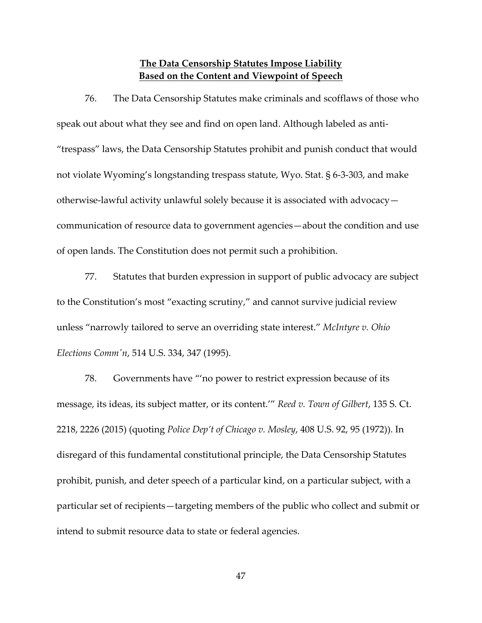# **The Data Censorship Statutes Impose Liability Based on the Content and Viewpoint of Speech**

76. The Data Censorship Statutes make criminals and scofflaws of those who speak out about what they see and find on open land. Although labeled as anti- "trespass" laws, the Data Censorship Statutes prohibit and punish conduct that would not violate Wyoming's longstanding trespass statute, Wyo. Stat. § 6-3-303, and make otherwise-lawful activity unlawful solely because it is associated with advocacy communication of resource data to government agencies—about the condition and use of open lands. The Constitution does not permit such a prohibition.

77. Statutes that burden expression in support of public advocacy are subject to the Constitution's most "exacting scrutiny," and cannot survive judicial review unless "narrowly tailored to serve an overriding state interest." *McIntyre v. Ohio Elections Comm'n*, 514 U.S. 334, 347 (1995).

78. Governments have "'no power to restrict expression because of its message, its ideas, its subject matter, or its content.'" *Reed v. Town of Gilbert*, 135 S. Ct. 2218, 2226 (2015) (quoting *Police Dep't of Chicago v. Mosley*, 408 U.S. 92, 95 (1972)). In disregard of this fundamental constitutional principle, the Data Censorship Statutes prohibit, punish, and deter speech of a particular kind, on a particular subject, with a particular set of recipients—targeting members of the public who collect and submit or intend to submit resource data to state or federal agencies.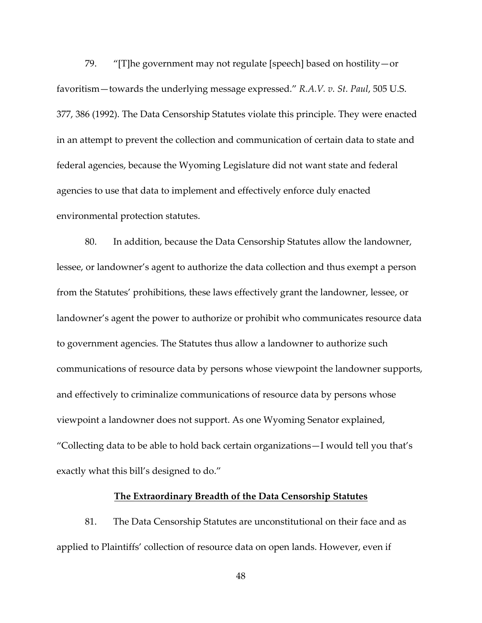79. "[T]he government may not regulate [speech] based on hostility—or favoritism—towards the underlying message expressed." *R.A.V. v. St. Paul*, 505 U.S. 377, 386 (1992). The Data Censorship Statutes violate this principle. They were enacted in an attempt to prevent the collection and communication of certain data to state and federal agencies, because the Wyoming Legislature did not want state and federal agencies to use that data to implement and effectively enforce duly enacted environmental protection statutes.

80. In addition, because the Data Censorship Statutes allow the landowner, lessee, or landowner's agent to authorize the data collection and thus exempt a person from the Statutes' prohibitions, these laws effectively grant the landowner, lessee, or landowner's agent the power to authorize or prohibit who communicates resource data to government agencies. The Statutes thus allow a landowner to authorize such communications of resource data by persons whose viewpoint the landowner supports, and effectively to criminalize communications of resource data by persons whose viewpoint a landowner does not support. As one Wyoming Senator explained, "Collecting data to be able to hold back certain organizations—I would tell you that's exactly what this bill's designed to do."

#### **The Extraordinary Breadth of the Data Censorship Statutes**

81. The Data Censorship Statutes are unconstitutional on their face and as applied to Plaintiffs' collection of resource data on open lands. However, even if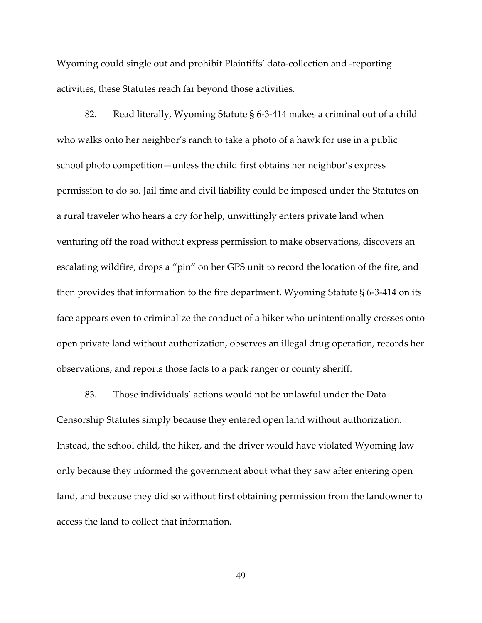Wyoming could single out and prohibit Plaintiffs' data-collection and -reporting activities, these Statutes reach far beyond those activities.

82. Read literally, Wyoming Statute § 6-3-414 makes a criminal out of a child who walks onto her neighbor's ranch to take a photo of a hawk for use in a public school photo competition—unless the child first obtains her neighbor's express permission to do so. Jail time and civil liability could be imposed under the Statutes on a rural traveler who hears a cry for help, unwittingly enters private land when venturing off the road without express permission to make observations, discovers an escalating wildfire, drops a "pin" on her GPS unit to record the location of the fire, and then provides that information to the fire department. Wyoming Statute  $\S$  6-3-414 on its face appears even to criminalize the conduct of a hiker who unintentionally crosses onto open private land without authorization, observes an illegal drug operation, records her observations, and reports those facts to a park ranger or county sheriff.

83. Those individuals' actions would not be unlawful under the Data Censorship Statutes simply because they entered open land without authorization. Instead, the school child, the hiker, and the driver would have violated Wyoming law only because they informed the government about what they saw after entering open land, and because they did so without first obtaining permission from the landowner to access the land to collect that information.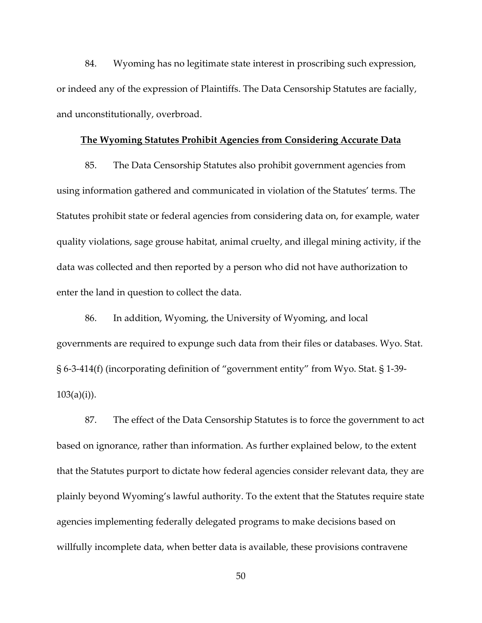84. Wyoming has no legitimate state interest in proscribing such expression, or indeed any of the expression of Plaintiffs. The Data Censorship Statutes are facially, and unconstitutionally, overbroad.

#### **The Wyoming Statutes Prohibit Agencies from Considering Accurate Data**

85. The Data Censorship Statutes also prohibit government agencies from using information gathered and communicated in violation of the Statutes' terms. The Statutes prohibit state or federal agencies from considering data on, for example, water quality violations, sage grouse habitat, animal cruelty, and illegal mining activity, if the data was collected and then reported by a person who did not have authorization to enter the land in question to collect the data.

86. In addition, Wyoming, the University of Wyoming, and local governments are required to expunge such data from their files or databases. Wyo. Stat. § 6-3-414(f) (incorporating definition of "government entity" from Wyo. Stat. § 1-39-  $103(a)(i)$ ).

87. The effect of the Data Censorship Statutes is to force the government to act based on ignorance, rather than information. As further explained below, to the extent that the Statutes purport to dictate how federal agencies consider relevant data, they are plainly beyond Wyoming's lawful authority. To the extent that the Statutes require state agencies implementing federally delegated programs to make decisions based on willfully incomplete data, when better data is available, these provisions contravene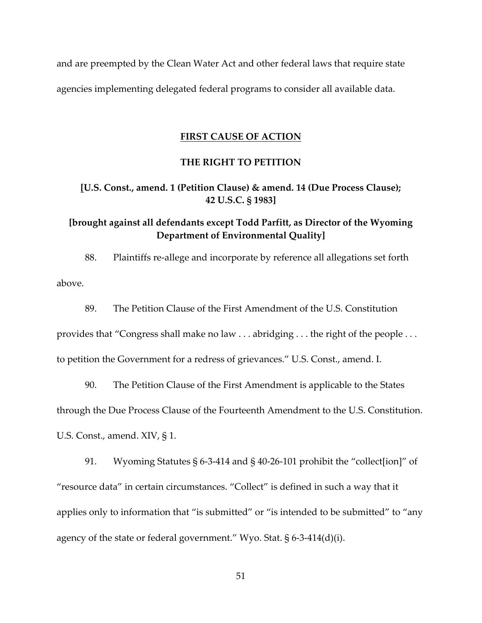and are preempted by the Clean Water Act and other federal laws that require state agencies implementing delegated federal programs to consider all available data.

#### **FIRST CAUSE OF ACTION**

# **THE RIGHT TO PETITION**

# **[U.S. Const., amend. 1 (Petition Clause) & amend. 14 (Due Process Clause); 42 U.S.C. § 1983]**

# **[brought against all defendants except Todd Parfitt, as Director of the Wyoming Department of Environmental Quality]**

88. Plaintiffs re-allege and incorporate by reference all allegations set forth above.

89. The Petition Clause of the First Amendment of the U.S. Constitution

provides that "Congress shall make no law . . . abridging . . . the right of the people . . .

to petition the Government for a redress of grievances." U.S. Const., amend. I.

90. The Petition Clause of the First Amendment is applicable to the States through the Due Process Clause of the Fourteenth Amendment to the U.S. Constitution. U.S. Const., amend. XIV, § 1.

91. Wyoming Statutes § 6-3-414 and § 40-26-101 prohibit the "collect[ion]" of "resource data" in certain circumstances. "Collect" is defined in such a way that it applies only to information that "is submitted" or "is intended to be submitted" to "any agency of the state or federal government." Wyo. Stat. § 6-3-414(d)(i).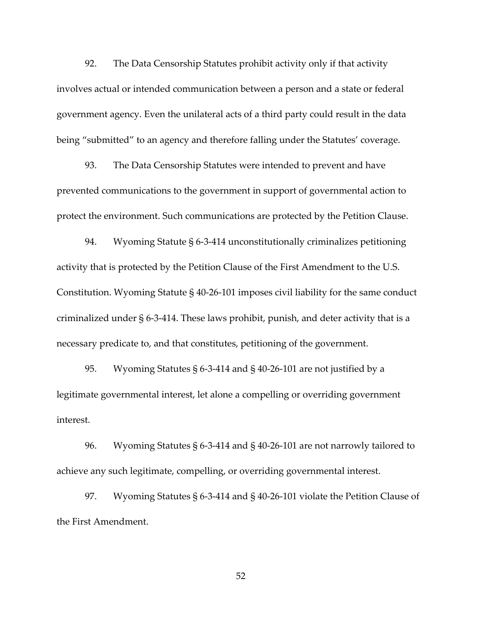92. The Data Censorship Statutes prohibit activity only if that activity involves actual or intended communication between a person and a state or federal government agency. Even the unilateral acts of a third party could result in the data being "submitted" to an agency and therefore falling under the Statutes' coverage.

93. The Data Censorship Statutes were intended to prevent and have prevented communications to the government in support of governmental action to protect the environment. Such communications are protected by the Petition Clause.

94. Wyoming Statute § 6-3-414 unconstitutionally criminalizes petitioning activity that is protected by the Petition Clause of the First Amendment to the U.S. Constitution. Wyoming Statute § 40-26-101 imposes civil liability for the same conduct criminalized under § 6-3-414. These laws prohibit, punish, and deter activity that is a necessary predicate to, and that constitutes, petitioning of the government.

95. Wyoming Statutes § 6-3-414 and § 40-26-101 are not justified by a legitimate governmental interest, let alone a compelling or overriding government interest.

96. Wyoming Statutes § 6-3-414 and § 40-26-101 are not narrowly tailored to achieve any such legitimate, compelling, or overriding governmental interest.

97. Wyoming Statutes § 6-3-414 and § 40-26-101 violate the Petition Clause of the First Amendment.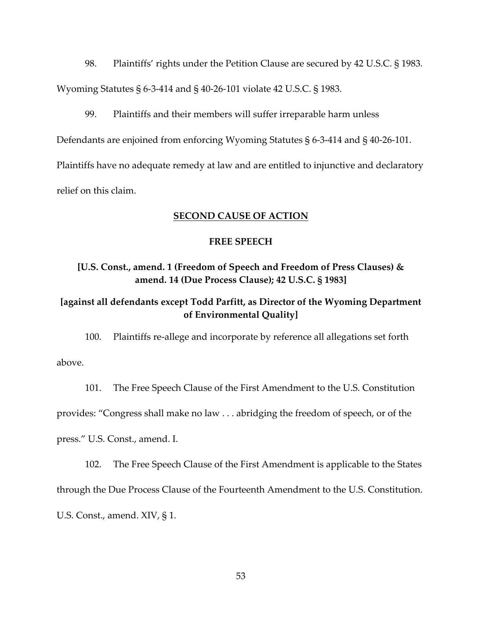98. Plaintiffs' rights under the Petition Clause are secured by 42 U.S.C. § 1983. Wyoming Statutes § 6-3-414 and § 40-26-101 violate 42 U.S.C. § 1983.

99. Plaintiffs and their members will suffer irreparable harm unless Defendants are enjoined from enforcing Wyoming Statutes § 6-3-414 and § 40-26-101. Plaintiffs have no adequate remedy at law and are entitled to injunctive and declaratory

relief on this claim.

# **SECOND CAUSE OF ACTION**

# **FREE SPEECH**

# **[U.S. Const., amend. 1 (Freedom of Speech and Freedom of Press Clauses) & amend. 14 (Due Process Clause); 42 U.S.C. § 1983]**

# **[against all defendants except Todd Parfitt, as Director of the Wyoming Department of Environmental Quality]**

100. Plaintiffs re-allege and incorporate by reference all allegations set forth above.

101. The Free Speech Clause of the First Amendment to the U.S. Constitution provides: "Congress shall make no law . . . abridging the freedom of speech, or of the press." U.S. Const., amend. I.

102. The Free Speech Clause of the First Amendment is applicable to the States through the Due Process Clause of the Fourteenth Amendment to the U.S. Constitution. U.S. Const., amend. XIV, § 1.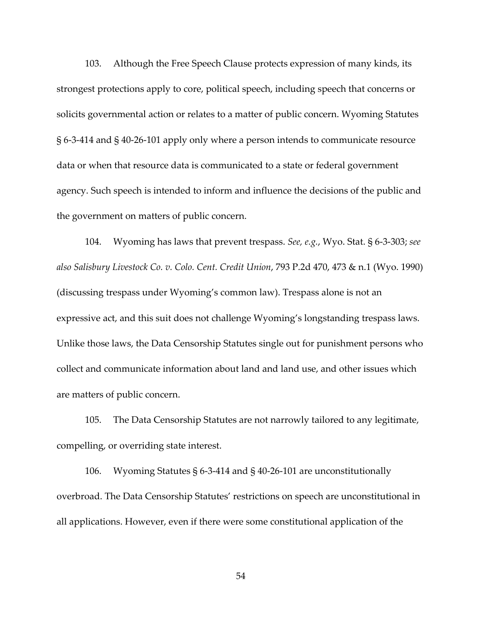103. Although the Free Speech Clause protects expression of many kinds, its strongest protections apply to core, political speech, including speech that concerns or solicits governmental action or relates to a matter of public concern. Wyoming Statutes § 6-3-414 and § 40-26-101 apply only where a person intends to communicate resource data or when that resource data is communicated to a state or federal government agency. Such speech is intended to inform and influence the decisions of the public and the government on matters of public concern.

104. Wyoming has laws that prevent trespass. *See, e.g.*, Wyo. Stat. § 6-3-303; *see also Salisbury Livestock Co. v. Colo. Cent. Credit Union*, 793 P.2d 470, 473 & n.1 (Wyo. 1990) (discussing trespass under Wyoming's common law). Trespass alone is not an expressive act, and this suit does not challenge Wyoming's longstanding trespass laws. Unlike those laws, the Data Censorship Statutes single out for punishment persons who collect and communicate information about land and land use, and other issues which are matters of public concern.

105. The Data Censorship Statutes are not narrowly tailored to any legitimate, compelling, or overriding state interest.

106. Wyoming Statutes § 6-3-414 and § 40-26-101 are unconstitutionally overbroad. The Data Censorship Statutes' restrictions on speech are unconstitutional in all applications. However, even if there were some constitutional application of the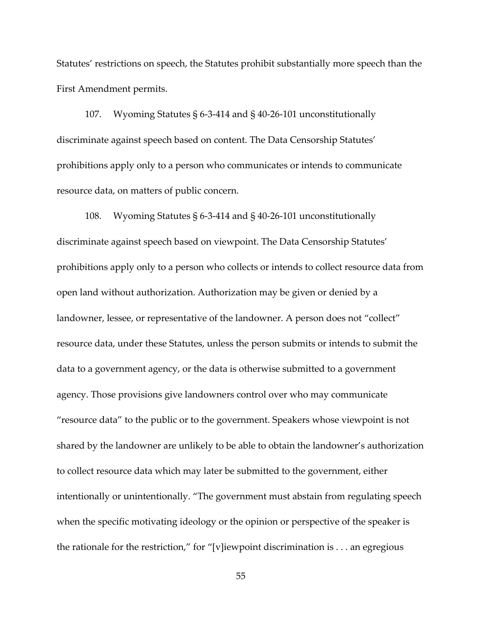Statutes' restrictions on speech, the Statutes prohibit substantially more speech than the First Amendment permits.

107. Wyoming Statutes § 6-3-414 and § 40-26-101 unconstitutionally discriminate against speech based on content. The Data Censorship Statutes' prohibitions apply only to a person who communicates or intends to communicate resource data, on matters of public concern.

108. Wyoming Statutes § 6-3-414 and § 40-26-101 unconstitutionally discriminate against speech based on viewpoint. The Data Censorship Statutes' prohibitions apply only to a person who collects or intends to collect resource data from open land without authorization. Authorization may be given or denied by a landowner, lessee, or representative of the landowner. A person does not "collect" resource data, under these Statutes, unless the person submits or intends to submit the data to a government agency, or the data is otherwise submitted to a government agency. Those provisions give landowners control over who may communicate "resource data" to the public or to the government. Speakers whose viewpoint is not shared by the landowner are unlikely to be able to obtain the landowner's authorization to collect resource data which may later be submitted to the government, either intentionally or unintentionally. "The government must abstain from regulating speech when the specific motivating ideology or the opinion or perspective of the speaker is the rationale for the restriction," for "[v]iewpoint discrimination is . . . an egregious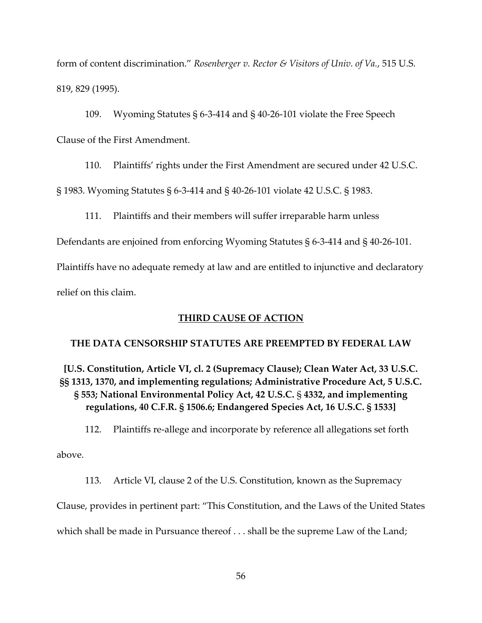form of content discrimination." *Rosenberger v. Rector & Visitors of Univ. of Va.*, 515 U.S. 819, 829 (1995).

109. Wyoming Statutes § 6-3-414 and § 40-26-101 violate the Free Speech Clause of the First Amendment.

110. Plaintiffs' rights under the First Amendment are secured under 42 U.S.C.

§ 1983. Wyoming Statutes § 6-3-414 and § 40-26-101 violate 42 U.S.C. § 1983.

111. Plaintiffs and their members will suffer irreparable harm unless

Defendants are enjoined from enforcing Wyoming Statutes § 6-3-414 and § 40-26-101.

Plaintiffs have no adequate remedy at law and are entitled to injunctive and declaratory relief on this claim.

# **THIRD CAUSE OF ACTION**

# **THE DATA CENSORSHIP STATUTES ARE PREEMPTED BY FEDERAL LAW**

**[U.S. Constitution, Article VI, cl. 2 (Supremacy Clause); Clean Water Act, 33 U.S.C. §§ 1313, 1370, and implementing regulations; Administrative Procedure Act, 5 U.S.C. § 553; National Environmental Policy Act, 42 U.S.C.** § **4332, and implementing regulations, 40 C.F.R. § 1506.6; Endangered Species Act, 16 U.S.C. § 1533]**

112. Plaintiffs re-allege and incorporate by reference all allegations set forth

above.

113. Article VI, clause 2 of the U.S. Constitution, known as the Supremacy Clause, provides in pertinent part: "This Constitution, and the Laws of the United States which shall be made in Pursuance thereof . . . shall be the supreme Law of the Land;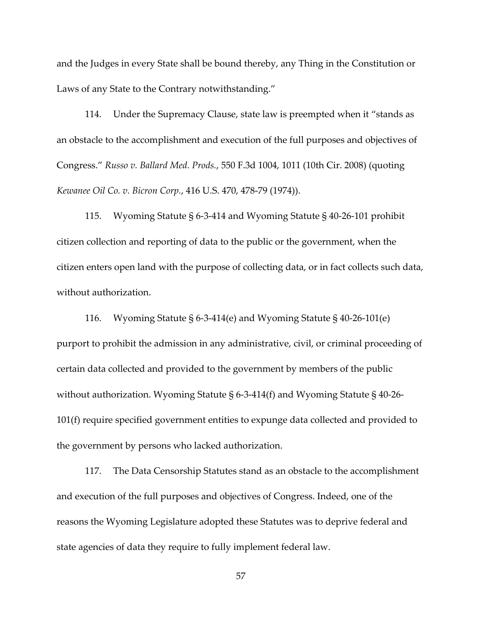and the Judges in every State shall be bound thereby, any Thing in the Constitution or Laws of any State to the Contrary notwithstanding."

114. Under the Supremacy Clause, state law is preempted when it "stands as an obstacle to the accomplishment and execution of the full purposes and objectives of Congress." *Russo v. Ballard Med. Prods.*, 550 F.3d 1004, 1011 (10th Cir. 2008) (quoting *Kewanee Oil Co. v. Bicron Corp.*, 416 U.S. 470, 478-79 (1974)).

115. Wyoming Statute § 6-3-414 and Wyoming Statute § 40-26-101 prohibit citizen collection and reporting of data to the public or the government, when the citizen enters open land with the purpose of collecting data, or in fact collects such data, without authorization.

116. Wyoming Statute § 6-3-414(e) and Wyoming Statute § 40-26-101(e) purport to prohibit the admission in any administrative, civil, or criminal proceeding of certain data collected and provided to the government by members of the public without authorization. Wyoming Statute § 6-3-414(f) and Wyoming Statute § 40-26- 101(f) require specified government entities to expunge data collected and provided to the government by persons who lacked authorization.

117. The Data Censorship Statutes stand as an obstacle to the accomplishment and execution of the full purposes and objectives of Congress. Indeed, one of the reasons the Wyoming Legislature adopted these Statutes was to deprive federal and state agencies of data they require to fully implement federal law.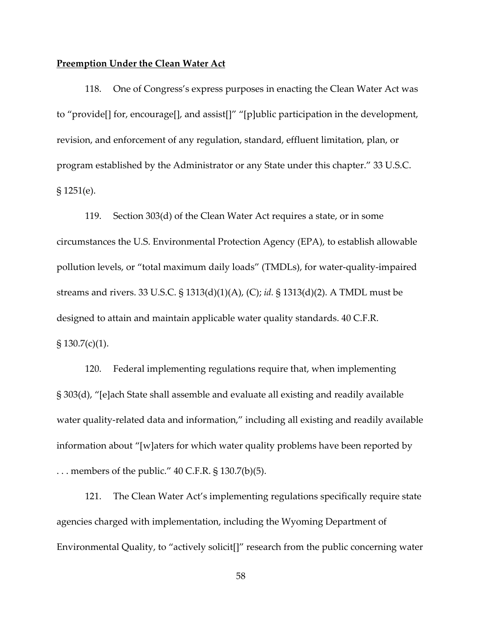## **Preemption Under the Clean Water Act**

118. One of Congress's express purposes in enacting the Clean Water Act was to "provide[] for, encourage[], and assist[]" "[p]ublic participation in the development, revision, and enforcement of any regulation, standard, effluent limitation, plan, or program established by the Administrator or any State under this chapter." 33 U.S.C. § 1251(e).

119. Section 303(d) of the Clean Water Act requires a state, or in some circumstances the U.S. Environmental Protection Agency (EPA), to establish allowable pollution levels, or "total maximum daily loads" (TMDLs), for water-quality-impaired streams and rivers. 33 U.S.C. § 1313(d)(1)(A), (C); *id.* § 1313(d)(2). A TMDL must be designed to attain and maintain applicable water quality standards. 40 C.F.R.  $\S 130.7(c)(1)$ .

120. Federal implementing regulations require that, when implementing § 303(d), "[e]ach State shall assemble and evaluate all existing and readily available water quality-related data and information," including all existing and readily available information about "[w]aters for which water quality problems have been reported by ... members of the public."  $40$  C.F.R. § 130.7(b)(5).

121. The Clean Water Act's implementing regulations specifically require state agencies charged with implementation, including the Wyoming Department of Environmental Quality, to "actively solicit[]" research from the public concerning water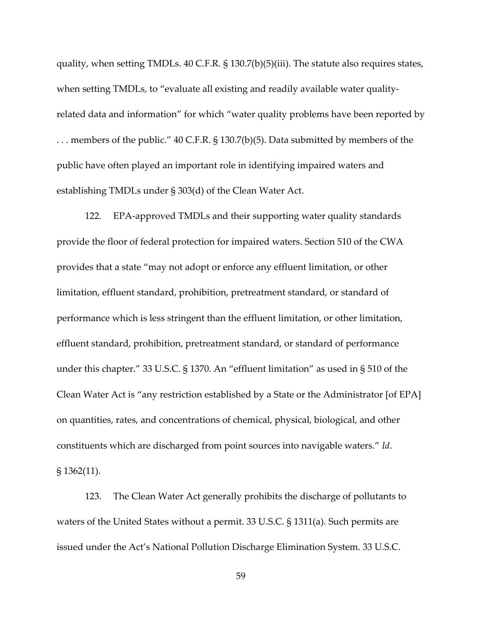quality, when setting TMDLs. 40 C.F.R. § 130.7(b)(5)(iii). The statute also requires states, when setting TMDLs, to "evaluate all existing and readily available water qualityrelated data and information" for which "water quality problems have been reported by ... members of the public." 40 C.F.R. § 130.7(b)(5). Data submitted by members of the public have often played an important role in identifying impaired waters and establishing TMDLs under § 303(d) of the Clean Water Act.

122. EPA-approved TMDLs and their supporting water quality standards provide the floor of federal protection for impaired waters. Section 510 of the CWA provides that a state "may not adopt or enforce any effluent limitation, or other limitation, effluent standard, prohibition, pretreatment standard, or standard of performance which is less stringent than the effluent limitation, or other limitation, effluent standard, prohibition, pretreatment standard, or standard of performance under this chapter." 33 U.S.C. § 1370. An "effluent limitation" as used in § 510 of the Clean Water Act is "any restriction established by a State or the Administrator [of EPA] on quantities, rates, and concentrations of chemical, physical, biological, and other constituents which are discharged from point sources into navigable waters." *Id*. § 1362(11).

123. The Clean Water Act generally prohibits the discharge of pollutants to waters of the United States without a permit. 33 U.S.C. § 1311(a). Such permits are issued under the Act's National Pollution Discharge Elimination System. 33 U.S.C.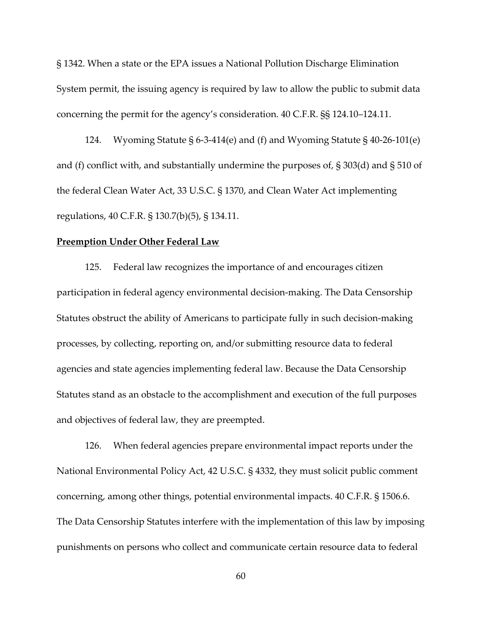§ 1342. When a state or the EPA issues a National Pollution Discharge Elimination System permit, the issuing agency is required by law to allow the public to submit data concerning the permit for the agency's consideration. 40 C.F.R. §§ 124.10–124.11.

124. Wyoming Statute § 6-3-414(e) and (f) and Wyoming Statute § 40-26-101(e) and (f) conflict with, and substantially undermine the purposes of, § 303(d) and § 510 of the federal Clean Water Act, 33 U.S.C. § 1370, and Clean Water Act implementing regulations, 40 C.F.R. § 130.7(b)(5), § 134.11.

## **Preemption Under Other Federal Law**

125. Federal law recognizes the importance of and encourages citizen participation in federal agency environmental decision-making. The Data Censorship Statutes obstruct the ability of Americans to participate fully in such decision-making processes, by collecting, reporting on, and/or submitting resource data to federal agencies and state agencies implementing federal law. Because the Data Censorship Statutes stand as an obstacle to the accomplishment and execution of the full purposes and objectives of federal law, they are preempted.

126. When federal agencies prepare environmental impact reports under the National Environmental Policy Act, 42 U.S.C. § 4332, they must solicit public comment concerning, among other things, potential environmental impacts. 40 C.F.R. § 1506.6. The Data Censorship Statutes interfere with the implementation of this law by imposing punishments on persons who collect and communicate certain resource data to federal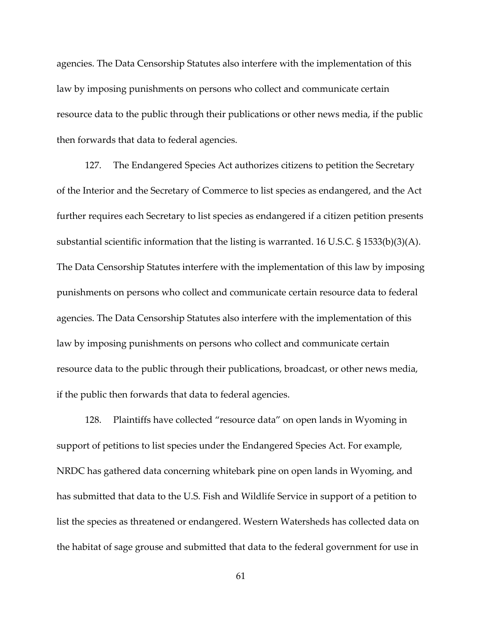agencies. The Data Censorship Statutes also interfere with the implementation of this law by imposing punishments on persons who collect and communicate certain resource data to the public through their publications or other news media, if the public then forwards that data to federal agencies.

127. The Endangered Species Act authorizes citizens to petition the Secretary of the Interior and the Secretary of Commerce to list species as endangered, and the Act further requires each Secretary to list species as endangered if a citizen petition presents substantial scientific information that the listing is warranted. 16 U.S.C. § 1533(b)(3)(A). The Data Censorship Statutes interfere with the implementation of this law by imposing punishments on persons who collect and communicate certain resource data to federal agencies. The Data Censorship Statutes also interfere with the implementation of this law by imposing punishments on persons who collect and communicate certain resource data to the public through their publications, broadcast, or other news media, if the public then forwards that data to federal agencies.

128. Plaintiffs have collected "resource data" on open lands in Wyoming in support of petitions to list species under the Endangered Species Act. For example, NRDC has gathered data concerning whitebark pine on open lands in Wyoming, and has submitted that data to the U.S. Fish and Wildlife Service in support of a petition to list the species as threatened or endangered. Western Watersheds has collected data on the habitat of sage grouse and submitted that data to the federal government for use in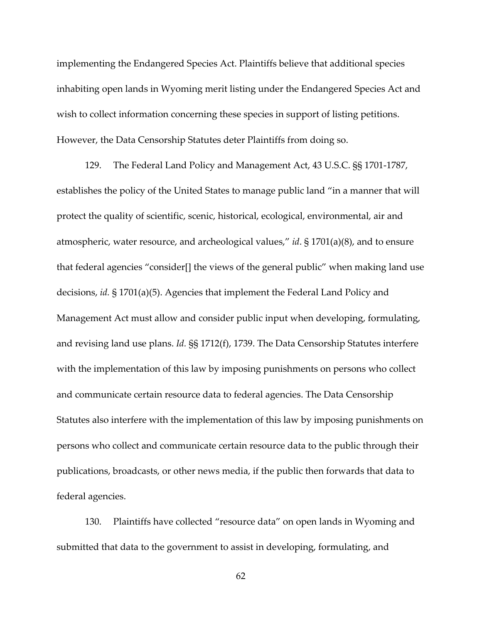implementing the Endangered Species Act. Plaintiffs believe that additional species inhabiting open lands in Wyoming merit listing under the Endangered Species Act and wish to collect information concerning these species in support of listing petitions. However, the Data Censorship Statutes deter Plaintiffs from doing so.

129. The Federal Land Policy and Management Act, 43 U.S.C. §§ 1701-1787, establishes the policy of the United States to manage public land "in a manner that will protect the quality of scientific, scenic, historical, ecological, environmental, air and atmospheric, water resource, and archeological values," *id*. § 1701(a)(8), and to ensure that federal agencies "consider[] the views of the general public" when making land use decisions, *id.* § 1701(a)(5). Agencies that implement the Federal Land Policy and Management Act must allow and consider public input when developing, formulating, and revising land use plans. *Id.* §§ 1712(f), 1739. The Data Censorship Statutes interfere with the implementation of this law by imposing punishments on persons who collect and communicate certain resource data to federal agencies. The Data Censorship Statutes also interfere with the implementation of this law by imposing punishments on persons who collect and communicate certain resource data to the public through their publications, broadcasts, or other news media, if the public then forwards that data to federal agencies.

130. Plaintiffs have collected "resource data" on open lands in Wyoming and submitted that data to the government to assist in developing, formulating, and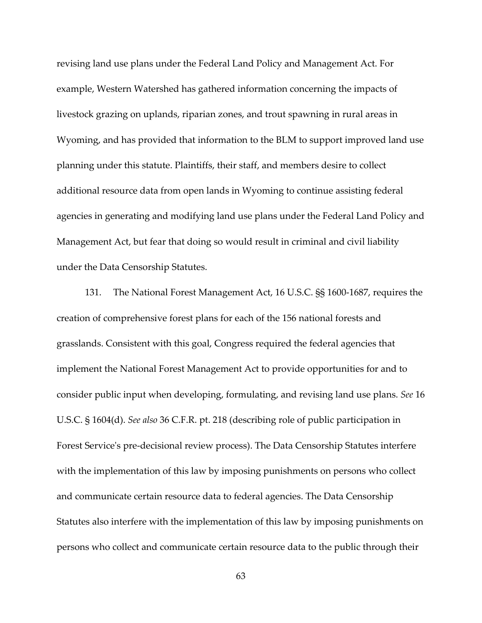revising land use plans under the Federal Land Policy and Management Act. For example, Western Watershed has gathered information concerning the impacts of livestock grazing on uplands, riparian zones, and trout spawning in rural areas in Wyoming, and has provided that information to the BLM to support improved land use planning under this statute. Plaintiffs, their staff, and members desire to collect additional resource data from open lands in Wyoming to continue assisting federal agencies in generating and modifying land use plans under the Federal Land Policy and Management Act, but fear that doing so would result in criminal and civil liability under the Data Censorship Statutes.

131. The National Forest Management Act, 16 U.S.C. §§ 1600-1687, requires the creation of comprehensive forest plans for each of the 156 national forests and grasslands. Consistent with this goal, Congress required the federal agencies that implement the National Forest Management Act to provide opportunities for and to consider public input when developing, formulating, and revising land use plans. *See* 16 U.S.C. § 1604(d). *See also* 36 C.F.R. pt. 218 (describing role of public participation in Forest Service's pre-decisional review process). The Data Censorship Statutes interfere with the implementation of this law by imposing punishments on persons who collect and communicate certain resource data to federal agencies. The Data Censorship Statutes also interfere with the implementation of this law by imposing punishments on persons who collect and communicate certain resource data to the public through their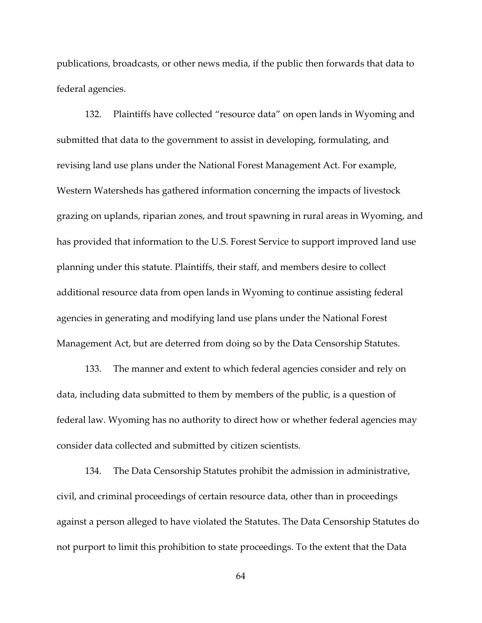publications, broadcasts, or other news media, if the public then forwards that data to federal agencies.

132. Plaintiffs have collected "resource data" on open lands in Wyoming and submitted that data to the government to assist in developing, formulating, and revising land use plans under the National Forest Management Act. For example, Western Watersheds has gathered information concerning the impacts of livestock grazing on uplands, riparian zones, and trout spawning in rural areas in Wyoming, and has provided that information to the U.S. Forest Service to support improved land use planning under this statute. Plaintiffs, their staff, and members desire to collect additional resource data from open lands in Wyoming to continue assisting federal agencies in generating and modifying land use plans under the National Forest Management Act, but are deterred from doing so by the Data Censorship Statutes.

133. The manner and extent to which federal agencies consider and rely on data, including data submitted to them by members of the public, is a question of federal law. Wyoming has no authority to direct how or whether federal agencies may consider data collected and submitted by citizen scientists.

134. The Data Censorship Statutes prohibit the admission in administrative, civil, and criminal proceedings of certain resource data, other than in proceedings against a person alleged to have violated the Statutes. The Data Censorship Statutes do not purport to limit this prohibition to state proceedings. To the extent that the Data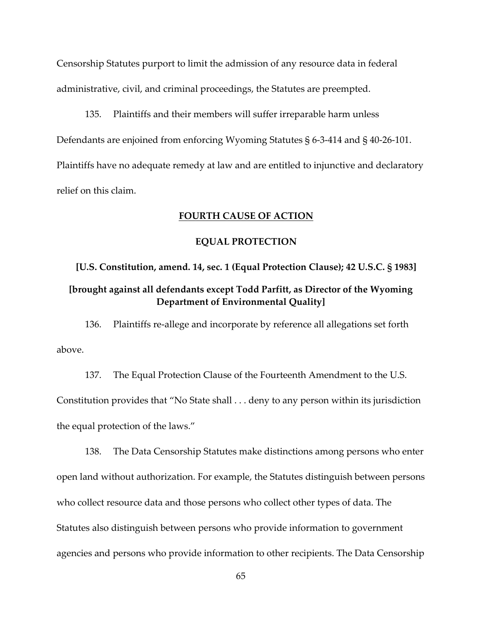Censorship Statutes purport to limit the admission of any resource data in federal administrative, civil, and criminal proceedings, the Statutes are preempted.

135. Plaintiffs and their members will suffer irreparable harm unless Defendants are enjoined from enforcing Wyoming Statutes § 6-3-414 and § 40-26-101. Plaintiffs have no adequate remedy at law and are entitled to injunctive and declaratory relief on this claim.

# **FOURTH CAUSE OF ACTION**

# **EQUAL PROTECTION**

# **[U.S. Constitution, amend. 14, sec. 1 (Equal Protection Clause); 42 U.S.C. § 1983] [brought against all defendants except Todd Parfitt, as Director of the Wyoming Department of Environmental Quality]**

136. Plaintiffs re-allege and incorporate by reference all allegations set forth above.

137. The Equal Protection Clause of the Fourteenth Amendment to the U.S. Constitution provides that "No State shall . . . deny to any person within its jurisdiction the equal protection of the laws."

138. The Data Censorship Statutes make distinctions among persons who enter open land without authorization. For example, the Statutes distinguish between persons who collect resource data and those persons who collect other types of data. The Statutes also distinguish between persons who provide information to government agencies and persons who provide information to other recipients. The Data Censorship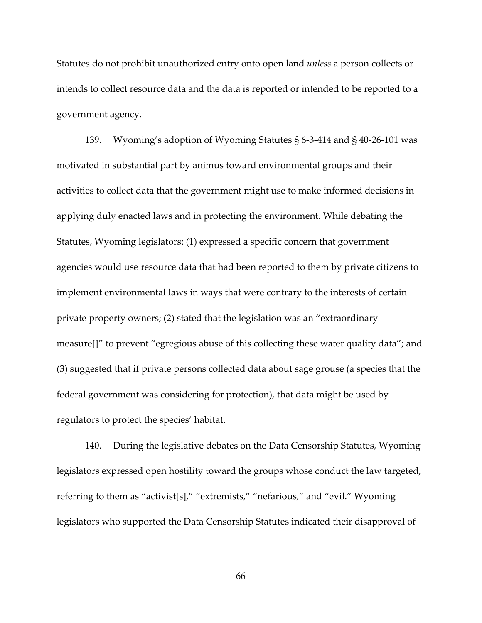Statutes do not prohibit unauthorized entry onto open land *unless* a person collects or intends to collect resource data and the data is reported or intended to be reported to a government agency.

139. Wyoming's adoption of Wyoming Statutes § 6-3-414 and § 40-26-101 was motivated in substantial part by animus toward environmental groups and their activities to collect data that the government might use to make informed decisions in applying duly enacted laws and in protecting the environment. While debating the Statutes, Wyoming legislators: (1) expressed a specific concern that government agencies would use resource data that had been reported to them by private citizens to implement environmental laws in ways that were contrary to the interests of certain private property owners; (2) stated that the legislation was an "extraordinary measure[]" to prevent "egregious abuse of this collecting these water quality data"; and (3) suggested that if private persons collected data about sage grouse (a species that the federal government was considering for protection), that data might be used by regulators to protect the species' habitat.

140. During the legislative debates on the Data Censorship Statutes, Wyoming legislators expressed open hostility toward the groups whose conduct the law targeted, referring to them as "activist[s]," "extremists," "nefarious," and "evil." Wyoming legislators who supported the Data Censorship Statutes indicated their disapproval of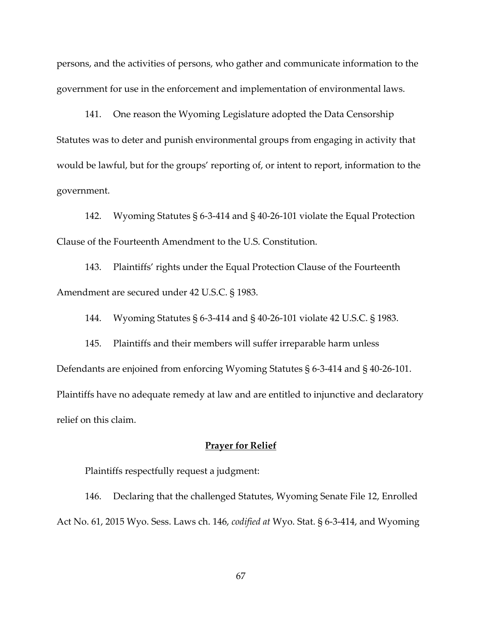persons, and the activities of persons, who gather and communicate information to the government for use in the enforcement and implementation of environmental laws.

141. One reason the Wyoming Legislature adopted the Data Censorship Statutes was to deter and punish environmental groups from engaging in activity that would be lawful, but for the groups' reporting of, or intent to report, information to the government.

142. Wyoming Statutes § 6-3-414 and § 40-26-101 violate the Equal Protection Clause of the Fourteenth Amendment to the U.S. Constitution.

143. Plaintiffs' rights under the Equal Protection Clause of the Fourteenth Amendment are secured under 42 U.S.C. § 1983.

144. Wyoming Statutes § 6-3-414 and § 40-26-101 violate 42 U.S.C. § 1983.

145. Plaintiffs and their members will suffer irreparable harm unless Defendants are enjoined from enforcing Wyoming Statutes § 6-3-414 and § 40-26-101. Plaintiffs have no adequate remedy at law and are entitled to injunctive and declaratory relief on this claim.

# **Prayer for Relief**

Plaintiffs respectfully request a judgment:

146. Declaring that the challenged Statutes, Wyoming Senate File 12, Enrolled Act No. 61, 2015 Wyo. Sess. Laws ch. 146, *codified at* Wyo. Stat. § 6-3-414, and Wyoming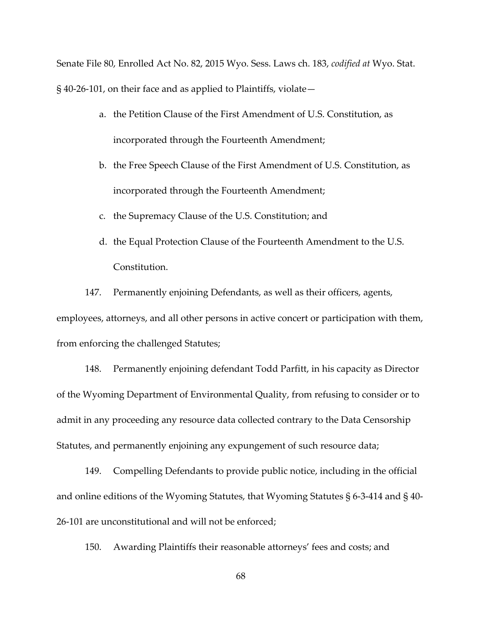Senate File 80, Enrolled Act No. 82, 2015 Wyo. Sess. Laws ch. 183, *codified at* Wyo. Stat. § 40-26-101, on their face and as applied to Plaintiffs, violate—

- a. the Petition Clause of the First Amendment of U.S. Constitution, as incorporated through the Fourteenth Amendment;
- b. the Free Speech Clause of the First Amendment of U.S. Constitution, as incorporated through the Fourteenth Amendment;
- c. the Supremacy Clause of the U.S. Constitution; and
- d. the Equal Protection Clause of the Fourteenth Amendment to the U.S. Constitution.

147. Permanently enjoining Defendants, as well as their officers, agents, employees, attorneys, and all other persons in active concert or participation with them, from enforcing the challenged Statutes;

148. Permanently enjoining defendant Todd Parfitt, in his capacity as Director of the Wyoming Department of Environmental Quality, from refusing to consider or to admit in any proceeding any resource data collected contrary to the Data Censorship Statutes, and permanently enjoining any expungement of such resource data;

149. Compelling Defendants to provide public notice, including in the official and online editions of the Wyoming Statutes, that Wyoming Statutes § 6-3-414 and § 40- 26-101 are unconstitutional and will not be enforced;

150. Awarding Plaintiffs their reasonable attorneys' fees and costs; and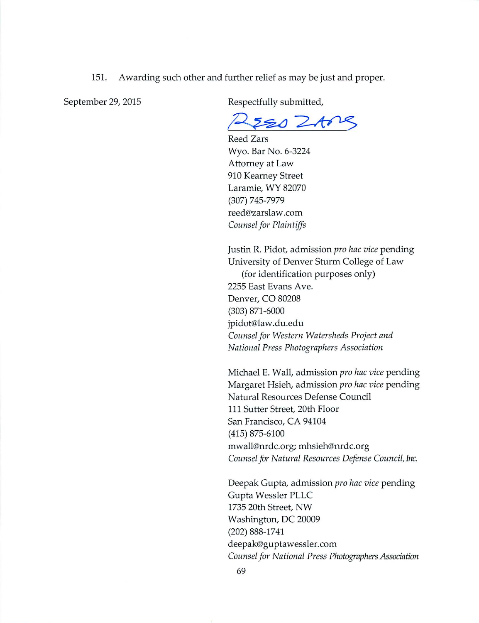151. Awarding such other and further relief as may be just and proper.

September 29, 2015

Respectfully submitted,

o ZAne

Reed Zars Wyo. Bar No. 6-3224 Attorney at Law 910 Kearney Street Laramie, WY 82070  $(307) 745 - 7979$ reed@zarslaw.com Counsel for Plaintiffs

Justin R. Pidot, admission *pro hac vice* pending University of Denver Sturm College of Law (for identification purposes only) 2255 East Evans Ave. Denver, CO 80208  $(303) 871 - 6000$ jpidot@law.du.edu Counsel for Western Watersheds Project and National Press Photographers Association

Michael E. Wall, admission pro hac vice pending Margaret Hsieh, admission pro hac vice pending Natural Resources Defense Council 111 Sutter Street, 20th Floor San Francisco, CA 94104  $(415)$  875-6100 mwall@nrdc.org; mhsieh@nrdc.org Counsel for Natural Resources Defense Council, Inc.

Deepak Gupta, admission pro hac vice pending Gupta Wessler PLLC 1735 20th Street, NW Washington, DC 20009  $(202) 888 - 1741$ deepak@guptawessler.com Counsel for National Press Photographers Association